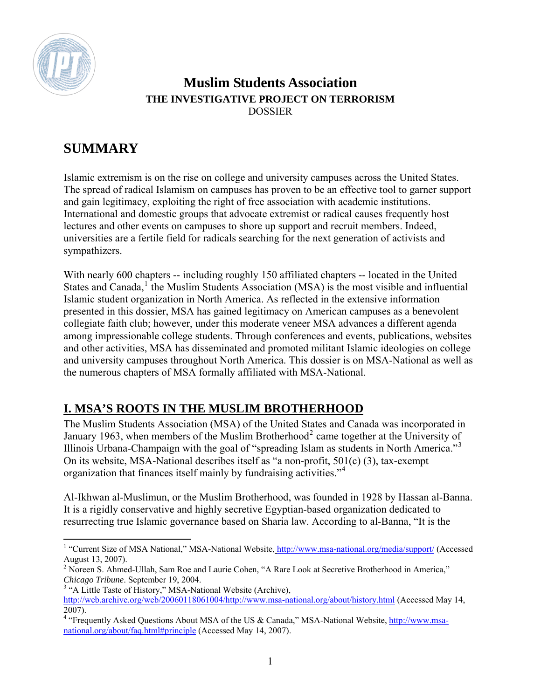

### **Muslim Students Association THE INVESTIGATIVE PROJECT ON TERRORISM**  DOSSIER

# **SUMMARY**

Islamic extremism is on the rise on college and university campuses across the United States. The spread of radical Islamism on campuses has proven to be an effective tool to garner support and gain legitimacy, exploiting the right of free association with academic institutions. International and domestic groups that advocate extremist or radical causes frequently host lectures and other events on campuses to shore up support and recruit members. Indeed, universities are a fertile field for radicals searching for the next generation of activists and sympathizers.

With nearly 600 chapters -- including roughly 150 affiliated chapters -- located in the United States and Canada,<sup>[1](#page-0-0)</sup> the Muslim Students Association (MSA) is the most visible and influential Islamic student organization in North America. As reflected in the extensive information presented in this dossier, MSA has gained legitimacy on American campuses as a benevolent collegiate faith club; however, under this moderate veneer MSA advances a different agenda among impressionable college students. Through conferences and events, publications, websites and other activities, MSA has disseminated and promoted militant Islamic ideologies on college and university campuses throughout North America. This dossier is on MSA-National as well as the numerous chapters of MSA formally affiliated with MSA-National.

# **I. MSA'S ROOTS IN THE MUSLIM BROTHERHOOD**

The Muslim Students Association (MSA) of the United States and Canada was incorporated in January 1963, when members of the Muslim Brotherhood<sup>[2](#page-0-1)</sup> came together at the University of Illinois Urbana-Champaign with the goal of "spreading Islam as students in North America."[3](#page-0-2) On its website, MSA-National describes itself as "a non-profit, 501(c) (3), tax-exempt organization that finances itself mainly by fundraising activities."[4](#page-0-3)

Al-Ikhwan al-Muslimun, or the Muslim Brotherhood, was founded in 1928 by Hassan al-Banna. It is a rigidly conservative and highly secretive Egyptian-based organization dedicated to resurrecting true Islamic governance based on Sharia law. According to al-Banna, "It is the

<span id="page-0-0"></span><sup>1 &</sup>quot;Current Size of MSA National," MSA-National Website, <http://www.msa-national.org/media/support/>(Accessed August 13, 2007).

<span id="page-0-1"></span><sup>&</sup>lt;sup>2</sup> Noreen S. Ahmed-Ullah, Sam Roe and Laurie Cohen, "A Rare Look at Secretive Brotherhood in America," *Chicago Tribune*. September 19, 2004.

<span id="page-0-2"></span><sup>&</sup>lt;sup>3</sup> "A Little Taste of History," MSA-National Website (Archive),

<http://web.archive.org/web/20060118061004/http://www.msa-national.org/about/history.html> (Accessed May 14, 2007).

<span id="page-0-3"></span><sup>&</sup>lt;sup>4</sup> "Frequently Asked Questions About MSA of the US & Canada," MSA-National Website, [http://www.msa](http://www.msa-national.org/about/faq.html#principle)[national.org/about/faq.html#principle](http://www.msa-national.org/about/faq.html#principle) (Accessed May 14, 2007).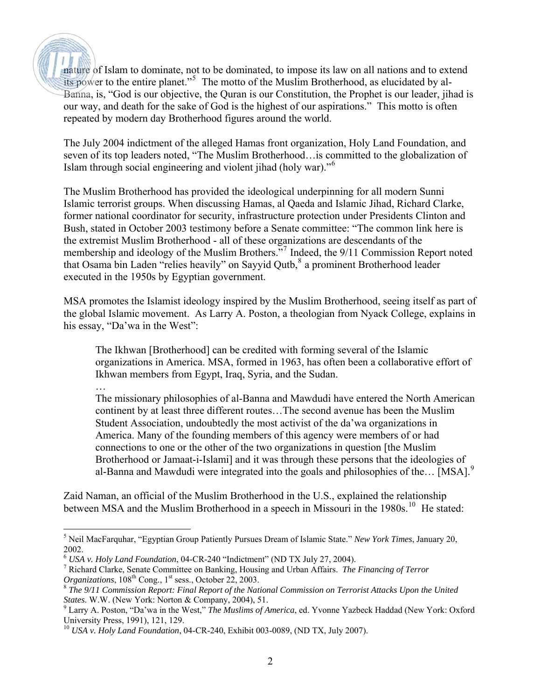nature of Islam to dominate, not to be dominated, to impose its law on all nations and to extend its power to the entire planet."<sup>[5](#page-1-0)</sup> The motto of the Muslim Brotherhood, as elucidated by al-Banna, is, "God is our objective, the Quran is our Constitution, the Prophet is our leader, jihad is our way, and death for the sake of God is the highest of our aspirations." This motto is often repeated by modern day Brotherhood figures around the world.

The July 2004 indictment of the alleged Hamas front organization, Holy Land Foundation, and seven of its top leaders noted, "The Muslim Brotherhood…is committed to the globalization of Islam through social engineering and violent jihad (holy war)."[6](#page-1-1)

The Muslim Brotherhood has provided the ideological underpinning for all modern Sunni Islamic terrorist groups. When discussing Hamas, al Qaeda and Islamic Jihad, Richard Clarke, former national coordinator for security, infrastructure protection under Presidents Clinton and Bush, stated in October 2003 testimony before a Senate committee: "The common link here is the extremist Muslim Brotherhood - all of these organizations are descendants of the membership and ideology of the Muslim Brothers."<sup>[7](#page-1-2)</sup> Indeed, the 9/11 Commission Report noted that Osama bin Laden "relies heavily" on Sayyid Qutb,<sup>[8](#page-1-3)</sup> a prominent Brotherhood leader executed in the 1950s by Egyptian government.

MSA promotes the Islamist ideology inspired by the Muslim Brotherhood, seeing itself as part of the global Islamic movement. As Larry A. Poston, a theologian from Nyack College, explains in his essay, "Da'wa in the West":

The Ikhwan [Brotherhood] can be credited with forming several of the Islamic organizations in America. MSA, formed in 1963, has often been a collaborative effort of Ikhwan members from Egypt, Iraq, Syria, and the Sudan.

… The missionary philosophies of al-Banna and Mawdudi have entered the North American continent by at least three different routes…The second avenue has been the Muslim Student Association, undoubtedly the most activist of the da'wa organizations in America. Many of the founding members of this agency were members of or had connections to one or the other of the two organizations in question [the Muslim Brotherhood or Jamaat-i-Islami] and it was through these persons that the ideologies of al-Banna and Mawdudi were integrated into the goals and philosophies of the... [MSA].<sup>[9](#page-1-4)</sup>

Zaid Naman, an official of the Muslim Brotherhood in the U.S., explained the relationship between MSA and the Muslim Brotherhood in a speech in Missouri in the 1980s.<sup>[10](#page-1-5)</sup> He stated:

<span id="page-1-0"></span> $\overline{a}$ 5 Neil MacFarquhar, "Egyptian Group Patiently Pursues Dream of Islamic State." *New York Times*, January 20, 2002.

<span id="page-1-1"></span><sup>&</sup>lt;sup>6</sup> USA v. Holy Land Foundation, 04-CR-240 "Indictment" (ND TX July 27, 2004).

<span id="page-1-2"></span>Richard Clarke, Senate Committee on Banking, Housing and Urban Affairs. *The Financing of Terror Organizations*,  $108^{th}$  Cong., 1<sup>st</sup> sess., October 22, 2003.

<span id="page-1-3"></span><sup>8</sup> *The 9/11 Commission Report: Final Report of the National Commission on Terrorist Attacks Upon the United* 

<span id="page-1-4"></span>*States*. W.W. (New York: Norton & Company, 2004), 51. 9 Larry A. Poston, "Da'wa in the West," *The Muslims of America*, ed. Yvonne Yazbeck Haddad (New York: Oxford University Press, 1991), 121, 129.

<span id="page-1-5"></span><sup>10</sup> *USA v. Holy Land Foundation*, 04-CR-240, Exhibit 003-0089, (ND TX, July 2007).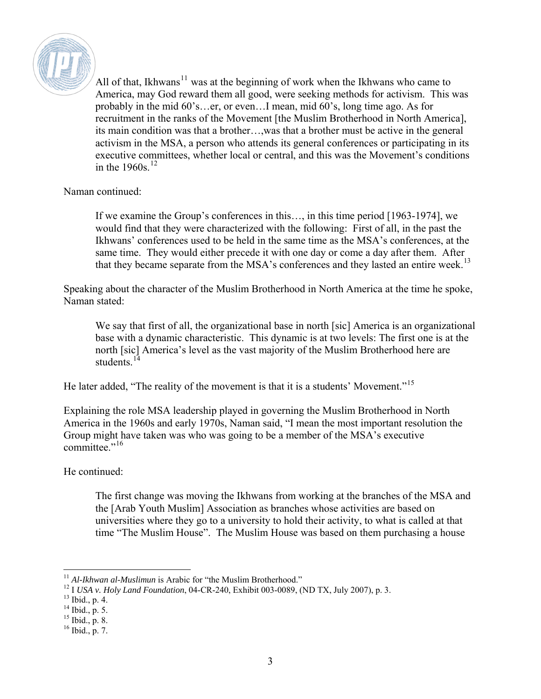

All of that, Ikhwans<sup>[11](#page-2-0)</sup> was at the beginning of work when the Ikhwans who came to America, may God reward them all good, were seeking methods for activism. This was probably in the mid 60's…er, or even…I mean, mid 60's, long time ago. As for recruitment in the ranks of the Movement [the Muslim Brotherhood in North America], its main condition was that a brother…,was that a brother must be active in the general activism in the MSA, a person who attends its general conferences or participating in its executive committees, whether local or central, and this was the Movement's conditions in the  $1960s$ <sup>[12](#page-2-1)</sup>

#### Naman continued:

If we examine the Group's conferences in this…, in this time period [1963-1974], we would find that they were characterized with the following: First of all, in the past the Ikhwans' conferences used to be held in the same time as the MSA's conferences, at the same time. They would either precede it with one day or come a day after them. After that they became separate from the MSA's conferences and they lasted an entire week.<sup>[13](#page-2-2)</sup>

Speaking about the character of the Muslim Brotherhood in North America at the time he spoke, Naman stated:

We say that first of all, the organizational base in north [sic] America is an organizational base with a dynamic characteristic. This dynamic is at two levels: The first one is at the north [sic] America's level as the vast majority of the Muslim Brotherhood here are students $14$ 

He later added, "The reality of the movement is that it is a students' Movement."<sup>[15](#page-2-4)</sup>

Explaining the role MSA leadership played in governing the Muslim Brotherhood in North America in the 1960s and early 1970s, Naman said, "I mean the most important resolution the Group might have taken was who was going to be a member of the MSA's executive committee."<sup>[16](#page-2-5)</sup>

He continued:

The first change was moving the Ikhwans from working at the branches of the MSA and the [Arab Youth Muslim] Association as branches whose activities are based on universities where they go to a university to hold their activity, to what is called at that time "The Muslim House". The Muslim House was based on them purchasing a house

<span id="page-2-0"></span> $11$  Al-Ikhwan al-Muslimun is Arabic for "the Muslim Brotherhood."

<span id="page-2-1"></span><sup>&</sup>lt;sup>12</sup> I *USA v. Holy Land Foundation*, 04-CR-240, Exhibit 003-0089, (ND TX, July 2007), p. 3.

<span id="page-2-2"></span> $13$  Ibid., p. 4.

 $14$  Ibid., p. 5.

<span id="page-2-4"></span><span id="page-2-3"></span><sup>15</sup> Ibid., p. 8.

<span id="page-2-5"></span> $16$  Ibid., p. 7.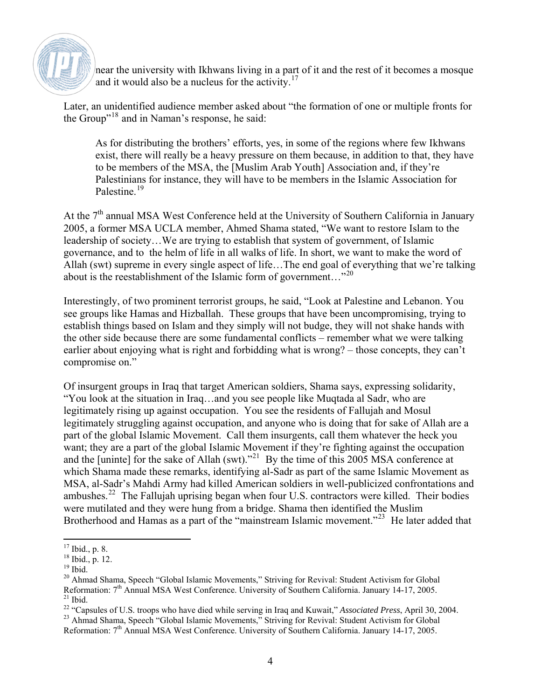

near the university with Ikhwans living in a part of it and the rest of it becomes a mosque and it would also be a nucleus for the activity.<sup>[17](#page-3-0)</sup>

Later, an unidentified audience member asked about "the formation of one or multiple fronts for the Group"[18](#page-3-1) and in Naman's response, he said:

As for distributing the brothers' efforts, yes, in some of the regions where few Ikhwans exist, there will really be a heavy pressure on them because, in addition to that, they have to be members of the MSA, the [Muslim Arab Youth] Association and, if they're Palestinians for instance, they will have to be members in the Islamic Association for Palestine.[19](#page-3-2)

At the  $7<sup>th</sup>$  annual MSA West Conference held at the University of Southern California in January 2005, a former MSA UCLA member, Ahmed Shama stated, "We want to restore Islam to the leadership of society…We are trying to establish that system of government, of Islamic governance, and to the helm of life in all walks of life. In short, we want to make the word of Allah (swt) supreme in every single aspect of life…The end goal of everything that we're talking about is the reestablishment of the Islamic form of government..."<sup>[20](#page-3-3)</sup>

Interestingly, of two prominent terrorist groups, he said, "Look at Palestine and Lebanon. You see groups like Hamas and Hizballah. These groups that have been uncompromising, trying to establish things based on Islam and they simply will not budge, they will not shake hands with the other side because there are some fundamental conflicts – remember what we were talking earlier about enjoying what is right and forbidding what is wrong? – those concepts, they can't compromise on."

Of insurgent groups in Iraq that target American soldiers, Shama says, expressing solidarity, "You look at the situation in Iraq…and you see people like Muqtada al Sadr, who are legitimately rising up against occupation. You see the residents of Fallujah and Mosul legitimately struggling against occupation, and anyone who is doing that for sake of Allah are a part of the global Islamic Movement. Call them insurgents, call them whatever the heck you want; they are a part of the global Islamic Movement if they're fighting against the occupation and the [uninte] for the sake of Allah (swt)."<sup>[21](#page-3-4)</sup> By the time of this 2005 MSA conference at which Shama made these remarks, identifying al-Sadr as part of the same Islamic Movement as MSA, al-Sadr's Mahdi Army had killed American soldiers in well-publicized confrontations and ambushes.<sup>[22](#page-3-5)</sup> The Fallujah uprising began when four U.S. contractors were killed. Their bodies were mutilated and they were hung from a bridge. Shama then identified the Muslim Brotherhood and Hamas as a part of the "mainstream Islamic movement."<sup>[23](#page-3-6)</sup> He later added that

 $\overline{a}$  $17$  Ibid., p. 8.

<span id="page-3-1"></span><span id="page-3-0"></span> $18$  Ibid., p. 12.

 $19$  Ibid.

<span id="page-3-3"></span><span id="page-3-2"></span><sup>&</sup>lt;sup>20</sup> Ahmad Shama, Speech "Global Islamic Movements," Striving for Revival: Student Activism for Global Reformation: 7<sup>th</sup> Annual MSA West Conference. University of Southern California. January 14-17, 2005.<br><sup>21</sup> Ibid

<span id="page-3-5"></span><span id="page-3-4"></span><sup>&</sup>lt;sup>22</sup> "Capsules of U.S. troops who have died while serving in Iraq and Kuwait," *Associated Press*, April 30, 2004.

<span id="page-3-6"></span><sup>&</sup>lt;sup>23</sup> Ahmad Shama, Speech "Global Islamic Movements," Striving for Revival: Student Activism for Global Reformation: 7<sup>th</sup> Annual MSA West Conference. University of Southern California. January 14-17, 2005.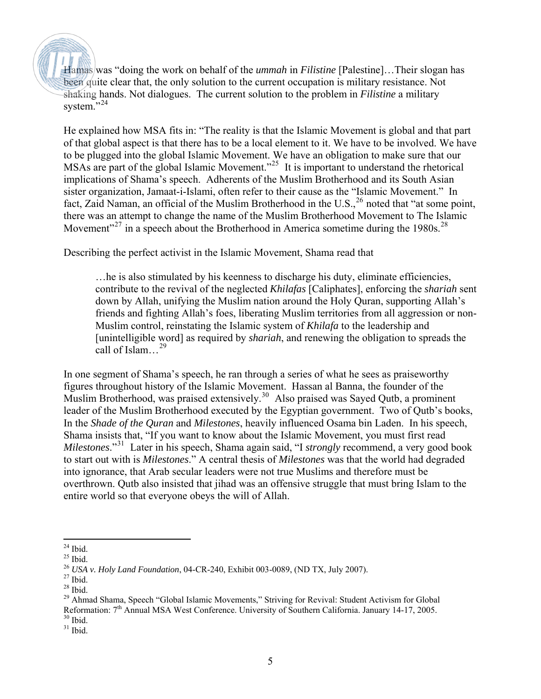Hamas was "doing the work on behalf of the *ummah* in *Filistine* [Palestine]…Their slogan has been quite clear that, the only solution to the current occupation is military resistance. Not shaking hands. Not dialogues. The current solution to the problem in *Filistine* a military system."[24](#page-4-0)

He explained how MSA fits in: "The reality is that the Islamic Movement is global and that part of that global aspect is that there has to be a local element to it. We have to be involved. We have to be plugged into the global Islamic Movement. We have an obligation to make sure that our MSAs are part of the global Islamic Movement.<sup>2[25](#page-4-1)</sup> It is important to understand the rhetorical implications of Shama's speech. Adherents of the Muslim Brotherhood and its South Asian sister organization, Jamaat-i-Islami, often refer to their cause as the "Islamic Movement." In fact, Zaid Naman, an official of the Muslim Brotherhood in the U.S.,<sup>[26](#page-4-2)</sup> noted that "at some point, there was an attempt to change the name of the Muslim Brotherhood Movement to The Islamic Movement"<sup>[27](#page-4-3)</sup> in a speech about the Brotherhood in America sometime during the 1980s.<sup>[28](#page-4-4)</sup>

Describing the perfect activist in the Islamic Movement, Shama read that

…he is also stimulated by his keenness to discharge his duty, eliminate efficiencies, contribute to the revival of the neglected *Khilafas* [Caliphates], enforcing the *shariah* sent down by Allah, unifying the Muslim nation around the Holy Quran, supporting Allah's friends and fighting Allah's foes, liberating Muslim territories from all aggression or non-Muslim control, reinstating the Islamic system of *Khilafa* to the leadership and [unintelligible word] as required by *shariah*, and renewing the obligation to spreads the call of Islam…[29](#page-4-5)

In one segment of Shama's speech, he ran through a series of what he sees as praiseworthy figures throughout history of the Islamic Movement. Hassan al Banna, the founder of the Muslim Brotherhood, was praised extensively.<sup>[30](#page-4-6)</sup> Also praised was Sayed Qutb, a prominent leader of the Muslim Brotherhood executed by the Egyptian government. Two of Qutb's books, In the *Shade of the Quran* and *Milestones*, heavily influenced Osama bin Laden. In his speech, Shama insists that, "If you want to know about the Islamic Movement, you must first read *Milestones*."[31](#page-4-7) Later in his speech, Shama again said, "I *strongly* recommend, a very good book to start out with is *Milestones*." A central thesis of *Milestones* was that the world had degraded into ignorance, that Arab secular leaders were not true Muslims and therefore must be overthrown. Qutb also insisted that jihad was an offensive struggle that must bring Islam to the entire world so that everyone obeys the will of Allah.

<sup>-</sup> $24$  Ibid.

<span id="page-4-1"></span><span id="page-4-0"></span> $25$  Ibid.

<sup>26</sup> *USA v. Holy Land Foundation*, 04-CR-240, Exhibit 003-0089, (ND TX, July 2007).

<span id="page-4-3"></span><span id="page-4-2"></span> $^{27}$  Ibid.

<span id="page-4-4"></span> $28$  Ibid.

<span id="page-4-5"></span><sup>&</sup>lt;sup>29</sup> Ahmad Shama, Speech "Global Islamic Movements," Striving for Revival: Student Activism for Global Reformation: 7<sup>th</sup> Annual MSA West Conference. University of Southern California. January 14-17, 2005.  $30$  Ibid.

<span id="page-4-7"></span><span id="page-4-6"></span> $31$  Ibid.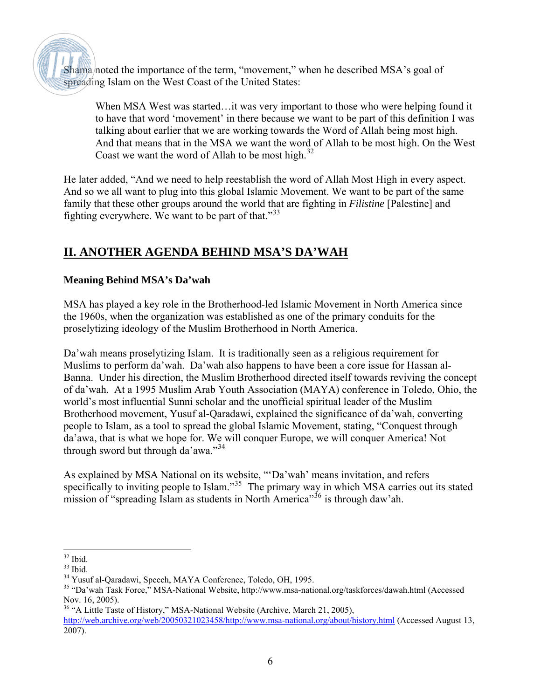Shama noted the importance of the term, "movement," when he described MSA's goal of spreading Islam on the West Coast of the United States:

When MSA West was started...it was very important to those who were helping found it to have that word 'movement' in there because we want to be part of this definition I was talking about earlier that we are working towards the Word of Allah being most high. And that means that in the MSA we want the word of Allah to be most high. On the West Coast we want the word of Allah to be most high. $32$ 

He later added, "And we need to help reestablish the word of Allah Most High in every aspect. And so we all want to plug into this global Islamic Movement. We want to be part of the same family that these other groups around the world that are fighting in *Filistine* [Palestine] and fighting everywhere. We want to be part of that." $33$ 

### **II. ANOTHER AGENDA BEHIND MSA'S DA'WAH**

#### **Meaning Behind MSA's Da'wah**

MSA has played a key role in the Brotherhood-led Islamic Movement in North America since the 1960s, when the organization was established as one of the primary conduits for the proselytizing ideology of the Muslim Brotherhood in North America.

Da'wah means proselytizing Islam. It is traditionally seen as a religious requirement for Muslims to perform da'wah. Da'wah also happens to have been a core issue for Hassan al-Banna. Under his direction, the Muslim Brotherhood directed itself towards reviving the concept of da'wah. At a 1995 Muslim Arab Youth Association (MAYA) conference in Toledo, Ohio, the world's most influential Sunni scholar and the unofficial spiritual leader of the Muslim Brotherhood movement, Yusuf al-Qaradawi, explained the significance of da'wah, converting people to Islam, as a tool to spread the global Islamic Movement, stating, "Conquest through da'awa, that is what we hope for. We will conquer Europe, we will conquer America! Not through sword but through da'awa."[34](#page-5-2)

As explained by MSA National on its website, "'Da'wah' means invitation, and refers specifically to inviting people to Islam."<sup>[35](#page-5-3)</sup> The primary way in which MSA carries out its stated mission of "spreading Islam as students in North America"<sup>[36](#page-5-4)</sup> is through daw'ah.

 $\overline{a}$  $32$  Ibid.

<span id="page-5-1"></span><span id="page-5-0"></span> $33$  Ibid.

<span id="page-5-2"></span><sup>34</sup> Yusuf al-Qaradawi, Speech, MAYA Conference, Toledo, OH, 1995.

<span id="page-5-3"></span><sup>35 &</sup>quot;Da'wah Task Force," MSA-National Website, http://www.msa-national.org/taskforces/dawah.html (Accessed Nov. 16, 2005).

<span id="page-5-4"></span><sup>&</sup>lt;sup>36</sup> "A Little Taste of History," MSA-National Website (Archive, March 21, 2005), http://web.archive.org/web/20050321023458/http://www.msa-national.org/about/history.html (Accessed August 13, 2007).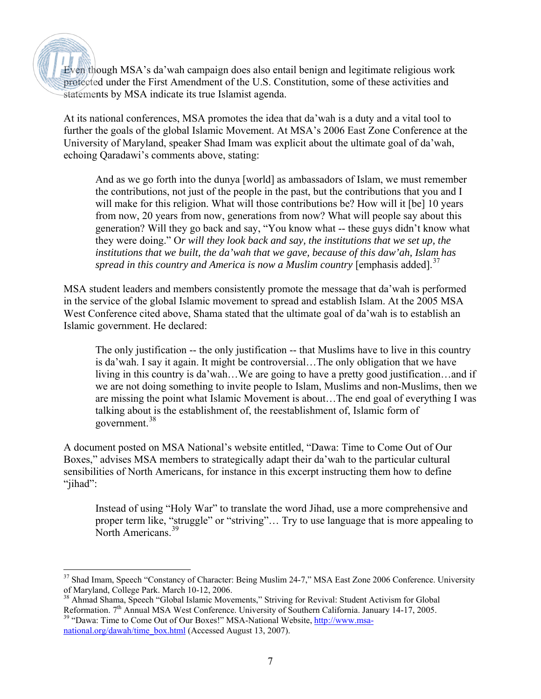Even though MSA's da'wah campaign does also entail benign and legitimate religious work protected under the First Amendment of the U.S. Constitution, some of these activities and statements by MSA indicate its true Islamist agenda.

At its national conferences, MSA promotes the idea that da'wah is a duty and a vital tool to further the goals of the global Islamic Movement. At MSA's 2006 East Zone Conference at the University of Maryland, speaker Shad Imam was explicit about the ultimate goal of da'wah, echoing Qaradawi's comments above, stating:

And as we go forth into the dunya [world] as ambassadors of Islam, we must remember the contributions, not just of the people in the past, but the contributions that you and I will make for this religion. What will those contributions be? How will it [be] 10 years from now, 20 years from now, generations from now? What will people say about this generation? Will they go back and say, "You know what -- these guys didn't know what they were doing." O*r will they look back and say, the institutions that we set up, the institutions that we built, the da'wah that we gave, because of this daw'ah, Islam has spread in this country and America is now a Muslim country* [emphasis added].<sup>[37](#page-6-0)</sup>

MSA student leaders and members consistently promote the message that da'wah is performed in the service of the global Islamic movement to spread and establish Islam. At the 2005 MSA West Conference cited above, Shama stated that the ultimate goal of da'wah is to establish an Islamic government. He declared:

The only justification -- the only justification -- that Muslims have to live in this country is da'wah. I say it again. It might be controversial…The only obligation that we have living in this country is da'wah…We are going to have a pretty good justification…and if we are not doing something to invite people to Islam, Muslims and non-Muslims, then we are missing the point what Islamic Movement is about…The end goal of everything I was talking about is the establishment of, the reestablishment of, Islamic form of government.[38](#page-6-1)

A document posted on MSA National's website entitled, "Dawa: Time to Come Out of Our Boxes," advises MSA members to strategically adapt their da' wah to the particular cultural sensibilities of North Americans, for instance in this excerpt instructing them how to define "jihad":

Instead of using "Holy War" to translate the word Jihad, use a more comprehensive and proper term like, "struggle" or "striving"… Try to use language that is more appealing to North Americans.<sup>[39](#page-6-2)</sup>

<span id="page-6-0"></span> $\overline{a}$ <sup>37</sup> Shad Imam, Speech "Constancy of Character: Being Muslim 24-7," MSA East Zone 2006 Conference. University of Maryland, College Park. March 10-12, 2006.

<span id="page-6-1"></span><sup>&</sup>lt;sup>38</sup> Ahmad Shama, Speech "Global Islamic Movements," Striving for Revival: Student Activism for Global Reformation. 7<sup>th</sup> Annual MSA West Conference. University of Southern California. January 14-17, 2005.

<span id="page-6-2"></span><sup>&</sup>lt;sup>39</sup> "Dawa: Time to Come Out of Our Boxes!" MSA-National Website, [http://www.msa](http://www.msa-national.org/dawah/time_box.html)[national.org/dawah/time\\_box.html](http://www.msa-national.org/dawah/time_box.html) (Accessed August 13, 2007).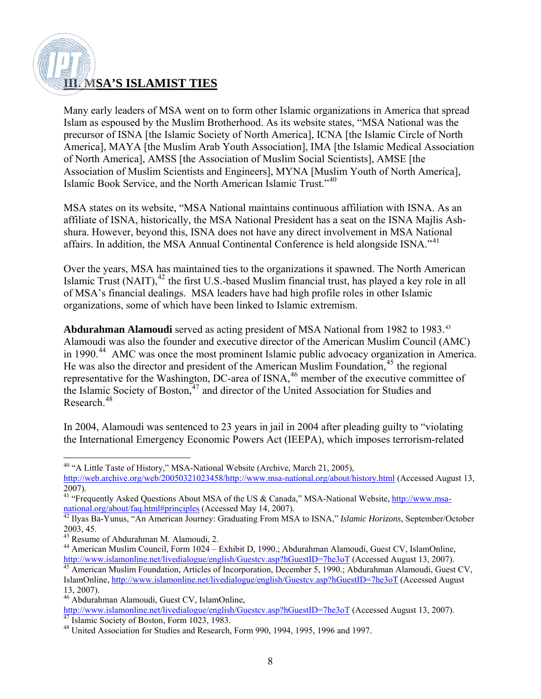### **III. MSA'S ISLAMIST TIES**

Many early leaders of MSA went on to form other Islamic organizations in America that spread Islam as espoused by the Muslim Brotherhood. As its website states, "MSA National was the precursor of ISNA [the Islamic Society of North America], ICNA [the Islamic Circle of North America], MAYA [the Muslim Arab Youth Association], IMA [the Islamic Medical Association of North America], AMSS [the Association of Muslim Social Scientists], AMSE [the Association of Muslim Scientists and Engineers], MYNA [Muslim Youth of North America], Islamic Book Service, and the North American Islamic Trust."[40](#page-7-0)

MSA states on its website, "MSA National maintains continuous affiliation with ISNA. As an affiliate of ISNA, historically, the MSA National President has a seat on the ISNA Majlis Ashshura. However, beyond this, ISNA does not have any direct involvement in MSA National affairs. In addition, the MSA Annual Continental Conference is held alongside ISNA."<sup>[41](#page-7-1)</sup>

Over the years, MSA has maintained ties to the organizations it spawned. The North American Islamic Trust  $(NAIT)$ ,<sup>[42](#page-7-2)</sup> the first U.S.-based Muslim financial trust, has played a key role in all of MSA's financial dealings. MSA leaders have had high profile roles in other Islamic organizations, some of which have been linked to Islamic extremism.

**Abdurahman Alamoudi** served as acting president of MSA National from 1982 to 1983.[43](#page-7-3) Alamoudi was also the founder and executive director of the American Muslim Council (AMC) in 1990.<sup>[44](#page-7-4)</sup> AMC was once the most prominent Islamic public advocacy organization in America. He was also the director and president of the American Muslim Foundation,<sup>[45](#page-7-5)</sup> the regional representative for the Washington, DC-area of ISNA,<sup>[46](#page-7-6)</sup> member of the executive committee of the Islamic Society of Boston,<sup>[47](#page-7-7)</sup> and director of the United Association for Studies and Research.<sup>[48](#page-7-8)</sup>

In 2004, Alamoudi was sentenced to 23 years in jail in 2004 after pleading guilty to "violating the International Emergency Economic Powers Act (IEEPA), which imposes terrorism-related

 $\overline{a}$ 

<span id="page-7-6"></span><http://www.islamonline.net/livedialogue/english/Guestcv.asp?hGuestID=7he3oT> (Accessed August 13, 2007). <sup>47</sup> Islamic Society of Boston, Form 1023, 1983.

<span id="page-7-0"></span><sup>&</sup>lt;sup>40</sup> "A Little Taste of History," MSA-National Website (Archive, March 21, 2005),

http://web.archive.org/web/20050321023458/http://www.msa-national.org/about/history.html (Accessed August 13, 2007).

<span id="page-7-1"></span><sup>&</sup>lt;sup>41</sup> "Frequently Asked Questions About MSA of the US & Canada," MSA-National Website, [http://www.msa](http://www.msa-national.org/about/faq.html#principles)[national.org/about/faq.html#principles](http://www.msa-national.org/about/faq.html#principles) (Accessed May 14, 2007). [42](http://www.msa-national.org/about/faq.html#principles) Ilyas Ba-Yunus, "An American Journey: Graduating From MSA to ISNA," *Islamic Horizons*, September/October

<span id="page-7-2"></span><sup>2003, 45.</sup> 

<sup>&</sup>lt;sup>43</sup> Resume of Abdurahman M. Alamoudi, 2.

<span id="page-7-4"></span><span id="page-7-3"></span><sup>&</sup>lt;sup>44</sup> American Muslim Council, Form 1024 – Exhibit D, 1990.; Abdurahman Alamoudi, Guest CV, IslamOnline, <http://www.islamonline.net/livedialogue/english/Guestcv.asp?hGuestID=7he3oT> (Accessed August 13, 2007).

<span id="page-7-5"></span><sup>&</sup>lt;sup>45</sup> American Muslim Foundation, Articles of Incorporation, December 5, 1990.; Abdurahman Alamoudi, Guest CV, IslamOnline,<http://www.islamonline.net/livedialogue/english/Guestcv.asp?hGuestID=7he3oT>(Accessed August 13, 2007).

<sup>46</sup> Abdurahman Alamoudi, Guest CV, IslamOnline,

<span id="page-7-8"></span><span id="page-7-7"></span><sup>48</sup> United Association for Studies and Research, Form 990, 1994, 1995, 1996 and 1997.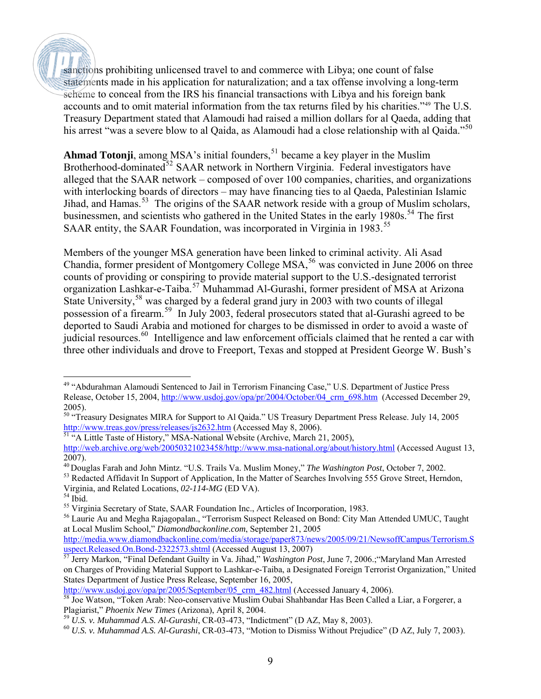sanctions prohibiting unlicensed travel to and commerce with Libya; one count of false statements made in his application for naturalization; and a tax offense involving a long-term scheme to conceal from the IRS his financial transactions with Libya and his foreign bank accounts and to omit material information from the tax returns filed by his charities."[49](#page-8-0) The U.S. Treasury Department stated that Alamoudi had raised a million dollars for al Qaeda, adding that his arrest "was a severe blow to al Qaida, as Alamoudi had a close relationship with al Qaida."<sup>[50](#page-8-1)</sup>

**Ahmad Totonji**, among MSA's initial founders,  $51$  became a key player in the Muslim Brotherhood-dominated<sup>[52](#page-8-3)</sup> SAAR network in Northern Virginia. Federal investigators have alleged that the SAAR network – composed of over 100 companies, charities, and organizations with interlocking boards of directors – may have financing ties to al Qaeda, Palestinian Islamic Jihad, and Hamas.<sup>[53](#page-8-4)</sup> The origins of the SAAR network reside with a group of Muslim scholars, businessmen, and scientists who gathered in the United States in the early  $1980s$ .<sup>[54](#page-8-5)</sup> The first SAAR entity, the SAAR Foundation, was incorporated in Virginia in 1983.<sup>[55](#page-8-6)</sup>

Members of the younger MSA generation have been linked to criminal activity. Ali Asad Chandia, former president of Montgomery College MSA,<sup>[56](#page-8-7)</sup> was convicted in June 2006 on three counts of providing or conspiring to provide material support to the U.S.-designated terrorist organization Lashkar-e-Taiba.<sup>[57](#page-8-8)</sup> Muhammad Al-Gurashi, former president of MSA at Arizona State University,<sup>[58](#page-8-9)</sup> was charged by a federal grand jury in 2003 with two counts of illegal possession of a firearm.<sup>[59](#page-8-10)</sup> In July 2003, federal prosecutors stated that al-Gurashi agreed to be deported to Saudi Arabia and motioned for charges to be dismissed in order to avoid a waste of judicial resources.<sup>[60](#page-8-11)</sup> Intelligence and law enforcement officials claimed that he rented a car with three other individuals and drove to Freeport, Texas and stopped at President George W. Bush's

<span id="page-8-2"></span><sup>51</sup> "A Little Taste of History," MSA-National Website (Archive, March 21, 2005), http://web.archive.org/web/20050321023458/http://www.msa-national.org/about/history.html (Accessed August 13, 2007).

http://www.usdoj.gov/opa/pr/2005/September/05 crm 482.html (Accessed January 4, 2006).

<span id="page-8-0"></span> $\overline{a}$ <sup>49</sup> "Abdurahman Alamoudi Sentenced to Jail in Terrorism Financing Case," U.S. Department of Justice Press Release, October 15, 2004, [http://www.usdoj.gov/opa/pr/2004/October/04\\_crm\\_698.htm](http://www.usdoj.gov/opa/pr/2004/October/04_crm_698.htm) (Accessed December 29, 2005).

<span id="page-8-1"></span><sup>&</sup>lt;sup>50</sup> "Treasury Designates MIRA for Support to Al Qaida." US Treasury Department Press Release. July 14, 2005 <http://www.treas.gov/press/releases/js2632.htm>(Accessed May 8, 2006).

<span id="page-8-3"></span><sup>40</sup> Douglas Farah and John Mintz. "U.S. Trails Va. Muslim Money," *The Washington Post*, October 7, 2002.

<span id="page-8-4"></span><sup>&</sup>lt;sup>53</sup> Redacted Affidavit In Support of Application, In the Matter of Searches Involving 555 Grove Street, Herndon, Virginia, and Related Locations, *02-114-MG* (ED VA).

<span id="page-8-5"></span><sup>54</sup> Ibid.

<span id="page-8-6"></span><sup>55</sup> Virginia Secretary of State, SAAR Foundation Inc., Articles of Incorporation, 1983.

<span id="page-8-7"></span><sup>56</sup> Laurie Au and Megha Rajagopalan., "Terrorism Suspect Released on Bond: City Man Attended UMUC, Taught at Local Muslim School," *Diamondbackonline.com*, September 21, 2005

[http://media.www.diamondbackonline.com/media/storage/paper873/news/2005/09/21/NewsoffCampus/Terrorism.S](http://media.www.diamondbackonline.com/media/storage/paper873/news/2005/09/21/NewsoffCampus/Terrorism.Suspect.Released.On.Bond-2322573.shtml)uspect.Released.On.Bond-2322573.shtml (Accessed August 13, 2007)

<span id="page-8-8"></span><sup>&</sup>lt;sup>[57](http://media.www.diamondbackonline.com/media/storage/paper873/news/2005/09/21/NewsoffCampus/Terrorism.Suspect.Released.On.Bond-2322573.shtml)</sup> Jerry Markon, "Final Defendant Guilty in Va. Jihad," *Washington Post*, June 7, 2006.; "Maryland Man Arrested on Charges of Providing Material Support to Lashkar-e-Taiba, a Designated Foreign Terrorist Organization," United States Department of Justice Press Release, September 16, 2005,

<span id="page-8-9"></span><sup>58</sup> Joe Watson, "Token Arab: Neo-conservative Muslim Oubai Shahbandar Has Been Called a Liar, a Forgerer, a Plagiarist," *Phoenix New Times* (Arizona), April 8, 2004.

<span id="page-8-10"></span><sup>59</sup> *U.S. v. Muhammad A.S. Al-Gurashi*, CR-03-473, "Indictment" (D AZ, May 8, 2003).

<span id="page-8-11"></span><sup>60</sup> *U.S. v. Muhammad A.S. Al-Gurashi*, CR-03-473, "Motion to Dismiss Without Prejudice" (D AZ, July 7, 2003).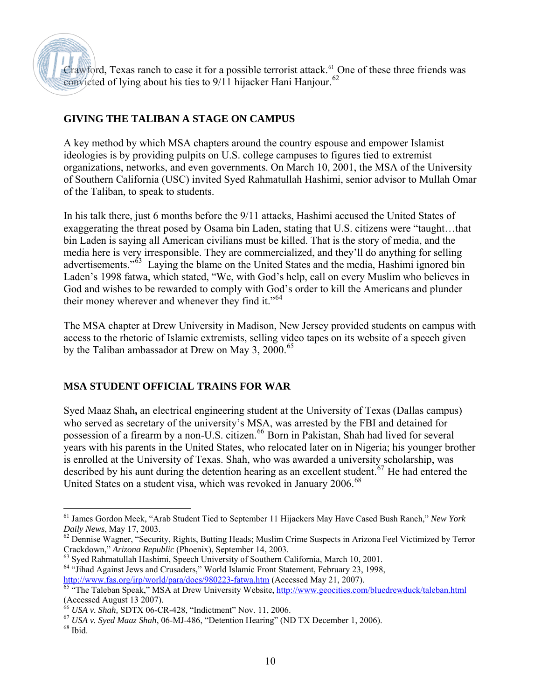Crawford, Texas ranch to case it for a possible terrorist attack.<sup>[61](#page-9-0)</sup> One of these three friends was convicted of lying about his ties to 9/11 hijacker Hani Hanjour.<sup>[62](#page-9-1)</sup>

#### **GIVING THE TALIBAN A STAGE ON CAMPUS**

A key method by which MSA chapters around the country espouse and empower Islamist ideologies is by providing pulpits on U.S. college campuses to figures tied to extremist organizations, networks, and even governments. On March 10, 2001, the MSA of the University of Southern California (USC) invited Syed Rahmatullah Hashimi, senior advisor to Mullah Omar of the Taliban, to speak to students.

In his talk there, just 6 months before the 9/11 attacks, Hashimi accused the United States of exaggerating the threat posed by Osama bin Laden, stating that U.S. citizens were "taught…that bin Laden is saying all American civilians must be killed. That is the story of media, and the media here is very irresponsible. They are commercialized, and they'll do anything for selling advertisements."<sup>[63](#page-9-2)</sup> Laying the blame on the United States and the media, Hashimi ignored bin Laden's 1998 fatwa, which stated, "We, with God's help, call on every Muslim who believes in God and wishes to be rewarded to comply with God's order to kill the Americans and plunder their money wherever and whenever they find it."<sup>[64](#page-9-3)</sup>

The MSA chapter at Drew University in Madison, New Jersey provided students on campus with access to the rhetoric of Islamic extremists, selling video tapes on its website of a speech given by the Taliban ambassador at Drew on May 3, 2000.<sup>[65](#page-9-4)</sup>

#### **MSA STUDENT OFFICIAL TRAINS FOR WAR**

Syed Maaz Shah**,** an electrical engineering student at the University of Texas (Dallas campus) who served as secretary of the university's MSA, was arrested by the FBI and detained for possession of a firearm by a non-U.S. citizen.<sup>[66](#page-9-5)</sup> Born in Pakistan, Shah had lived for several years with his parents in the United States, who relocated later on in Nigeria; his younger brother is enrolled at the University of Texas. Shah, who was awarded a university scholarship, was described by his aunt during the detention hearing as an excellent student.<sup>[67](#page-9-6)</sup> He had entered the United States on a student visa, which was revoked in January 2006.<sup>[68](#page-9-7)</sup>

<span id="page-9-0"></span> $\overline{a}$ 61 James Gordon Meek, "Arab Student Tied to September 11 Hijackers May Have Cased Bush Ranch," *New York Daily News*, May 17, 2003.

<span id="page-9-1"></span><sup>&</sup>lt;sup>62</sup> Dennise Wagner, "Security, Rights, Butting Heads; Muslim Crime Suspects in Arizona Feel Victimized by Terror Crackdown," *Arizona Republic* (Phoenix), September 14, 2003.

<span id="page-9-3"></span><span id="page-9-2"></span><sup>63</sup> Syed Rahmatullah Hashimi, Speech University of Southern California, March 10, 2001. <sup>64</sup> "Jihad Against Jews and Crusaders," World Islamic Front Statement, February 23, 1998,

<http://www.fas.org/irp/world/para/docs/980223-fatwa.htm>(Accessed May 21, 2007).

<span id="page-9-4"></span><sup>65 &</sup>quot;The Taleban Speak," MSA at Drew University Website,<http://www.geocities.com/bluedrewduck/taleban.html> (Accessed August 13 2007).

<sup>66</sup> *USA v. Shah,* SDTX 06-CR-428, "Indictment" Nov. 11, 2006.

<span id="page-9-6"></span><span id="page-9-5"></span><sup>67</sup> *USA v. Syed Maaz Shah*, 06-MJ-486, "Detention Hearing" (ND TX December 1, 2006).

<span id="page-9-7"></span> $^{68}$  Ibid.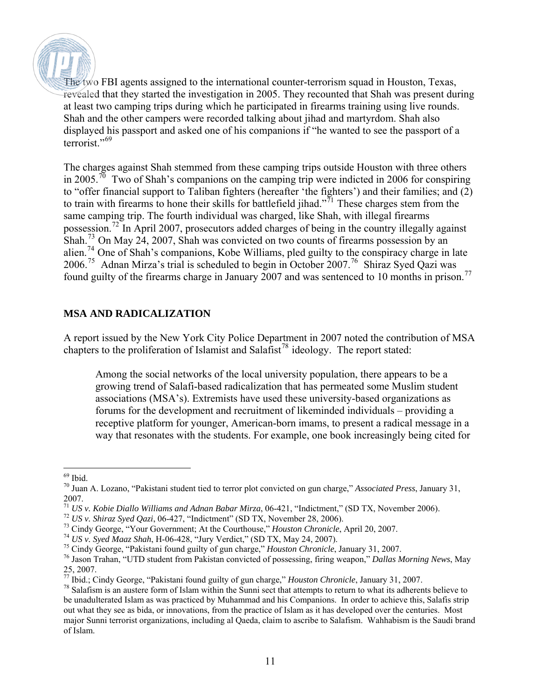The two FBI agents assigned to the international counter-terrorism squad in Houston, Texas, revealed that they started the investigation in 2005. They recounted that Shah was present during at least two camping trips during which he participated in firearms training using live rounds. Shah and the other campers were recorded talking about jihad and martyrdom. Shah also displayed his passport and asked one of his companions if "he wanted to see the passport of a terrorist."<sup>[69](#page-10-0)</sup>

The charges against Shah stemmed from these camping trips outside Houston with three others in 2005.<sup>[70](#page-10-1)</sup> Two of Shah's companions on the camping trip were indicted in 2006 for conspiring to "offer financial support to Taliban fighters (hereafter 'the fighters') and their families; and  $(2)$ to train with firearms to hone their skills for battlefield jihad."<sup>[71](#page-10-2)</sup> These charges stem from the same camping trip. The fourth individual was charged, like Shah, with illegal firearms possession.[72](#page-10-3) In April 2007, prosecutors added charges of being in the country illegally against Shah.[73](#page-10-4) On May 24, 2007, Shah was convicted on two counts of firearms possession by an alien.[74](#page-10-5) One of Shah's companions, Kobe Williams, pled guilty to the conspiracy charge in late 2006.[75](#page-10-6) Adnan Mirza's trial is scheduled to begin in October 2007.[76](#page-10-7) Shiraz Syed Qazi was found guilty of the firearms charge in January 2007 and was sentenced to 10 months in prison.<sup>[77](#page-10-8)</sup>

#### **MSA AND RADICALIZATION**

A report issued by the New York City Police Department in 2007 noted the contribution of MSA chapters to the proliferation of Islamist and Salafist<sup>[78](#page-10-9)</sup> ideology. The report stated:

Among the social networks of the local university population, there appears to be a growing trend of Salafi-based radicalization that has permeated some Muslim student associations (MSA's). Extremists have used these university-based organizations as forums for the development and recruitment of likeminded individuals – providing a receptive platform for younger, American-born imams, to present a radical message in a way that resonates with the students. For example, one book increasingly being cited for

<span id="page-10-0"></span> $\overline{a}$ 69 Ibid.

<span id="page-10-1"></span><sup>70</sup> Juan A. Lozano, "Pakistani student tied to terror plot convicted on gun charge," *Associated Press*, January 31, 2007.

<sup>71</sup> *US v. Kobie Diallo Williams and Adnan Babar Mirza*, 06-421, "Indictment," (SD TX, November 2006).

<sup>72</sup> *US v. Shiraz Syed Qazi*, 06-427, "Indictment" (SD TX, November 28, 2006).

<span id="page-10-4"></span><span id="page-10-3"></span><span id="page-10-2"></span><sup>&</sup>lt;sup>72</sup> US v. Shiraz Syed Qazi, 06-427, "Indictment" (SD TX, November 28, 2006).<br><sup>73</sup> Cindy George, "Your Government; At the Courthouse," *Houston Chronicle*, April 20, 2007.<br><sup>74</sup> US v. Syed Maaz Shah, H-06-428, "Jury Verdic

<span id="page-10-5"></span>

<span id="page-10-6"></span><sup>&</sup>lt;sup>75</sup> Cindy George, "Pakistani found guilty of gun charge," *Houston Chronicle*, January 31, 2007.

<span id="page-10-7"></span><sup>76</sup> Jason Trahan, "UTD student from Pakistan convicted of possessing, firing weapon," *Dallas Morning News*, May 25, 2007.

<span id="page-10-8"></span><sup>77</sup> Ibid.; Cindy George, "Pakistani found guilty of gun charge," *Houston Chronicle*, January 31, 2007.

<span id="page-10-9"></span> $78$  Salafism is an austere form of Islam within the Sunni sect that attempts to return to what its adherents believe to be unadulterated Islam as was practiced by Muhammad and his Companions. In order to achieve this, Salafis strip out what they see as bida, or innovations, from the practice of Islam as it has developed over the centuries. Most major Sunni terrorist organizations, including al Qaeda, claim to ascribe to Salafism. Wahhabism is the Saudi brand of Islam.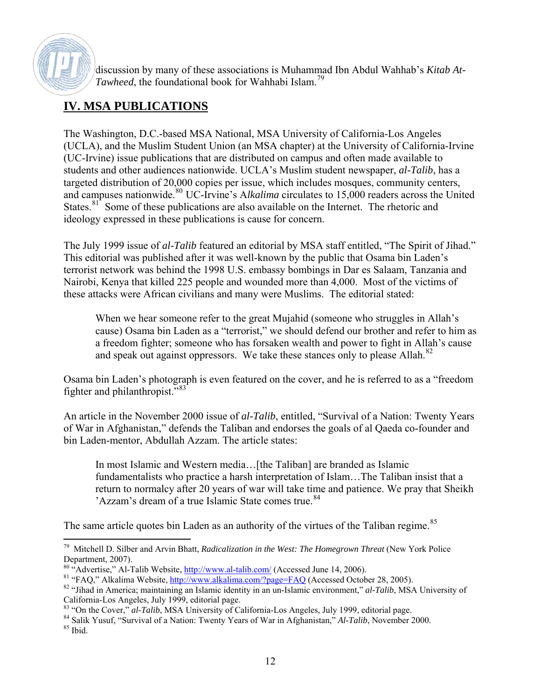

discussion by many of these associations is Muhammad Ibn Abdul Wahhab's *Kitab At-Tawheed*, the foundational book for Wahhabi Islam.<sup>[79](#page-11-0)</sup>

## **IV. MSA PUBLICATIONS**

The Washington, D.C.-based MSA National, MSA University of California-Los Angeles (UCLA), and the Muslim Student Union (an MSA chapter) at the University of California-Irvine (UC-Irvine) issue publications that are distributed on campus and often made available to students and other audiences nationwide. UCLA's Muslim student newspaper, *al-Talib*, has a targeted distribution of 20,000 copies per issue, which includes mosques, community centers, and campuses nationwide.<sup>[80](#page-11-1)</sup> UC-Irvine's Alkalima circulates to 15,000 readers across the United States.<sup>[81](#page-11-2)</sup> Some of these publications are also available on the Internet. The rhetoric and ideology expressed in these publications is cause for concern.

The July 1999 issue of *al-Talib* featured an editorial by MSA staff entitled, "The Spirit of Jihad." This editorial was published after it was well-known by the public that Osama bin Laden's terrorist network was behind the 1998 U.S. embassy bombings in Dar es Salaam, Tanzania and Nairobi, Kenya that killed 225 people and wounded more than 4,000. Most of the victims of these attacks were African civilians and many were Muslims. The editorial stated:

When we hear someone refer to the great Mujahid (someone who struggles in Allah's cause) Osama bin Laden as a "terrorist," we should defend our brother and refer to him as a freedom fighter; someone who has forsaken wealth and power to fight in Allah's cause and speak out against oppressors. We take these stances only to please Allah.<sup>[82](#page-11-3)</sup>

Osama bin Laden's photograph is even featured on the cover, and he is referred to as a "freedom fighter and philanthropist."[83](#page-11-4)

An article in the November 2000 issue of *al-Talib*, entitled, "Survival of a Nation: Twenty Years of War in Afghanistan," defends the Taliban and endorses the goals of al Qaeda co-founder and bin Laden-mentor, Abdullah Azzam. The article states:

In most Islamic and Western media...[the Taliban] are branded as Islamic fundamentalists who practice a harsh interpretation of Islam…The Taliban insist that a return to normalcy after 20 years of war will take time and patience. We pray that Sheikh 'Azzam's dream of a true Islamic State comes true.<sup>[84](#page-11-5)</sup>

The same article quotes bin Laden as an authority of the virtues of the Taliban regime.<sup>[85](#page-11-6)</sup>

<span id="page-11-0"></span> $\overline{a}$ 79 Mitchell D. Silber and Arvin Bhatt, *Radicalization in the West: The Homegrown Threat* (New York Police Department, 2007).

<span id="page-11-1"></span><sup>&</sup>lt;sup>80</sup> "Advertise," Al-Talib Website,<http://www.al-talib.com/> (Accessed June 14, 2006).

<span id="page-11-2"></span><sup>&</sup>lt;sup>81</sup> "FAQ," Alkalima Website,<http://www.alkalima.com/?page=FAQ> (Accessed October 28, 2005).

<span id="page-11-3"></span><sup>82 &</sup>quot;Jihad in America; maintaining an Islamic identity in an un-Islamic environment," *al-Talib*, MSA University of California-Los Angeles, July 1999, editorial page.

<span id="page-11-4"></span><sup>83 &</sup>quot;On the Cover," *al-Talib*, MSA University of California-Los Angeles, July 1999, editorial page.

<span id="page-11-6"></span><span id="page-11-5"></span><sup>84</sup> Salik Yusuf, "Survival of a Nation: Twenty Years of War in Afghanistan," *Al-Talib*, November 2000. 85 Ibid.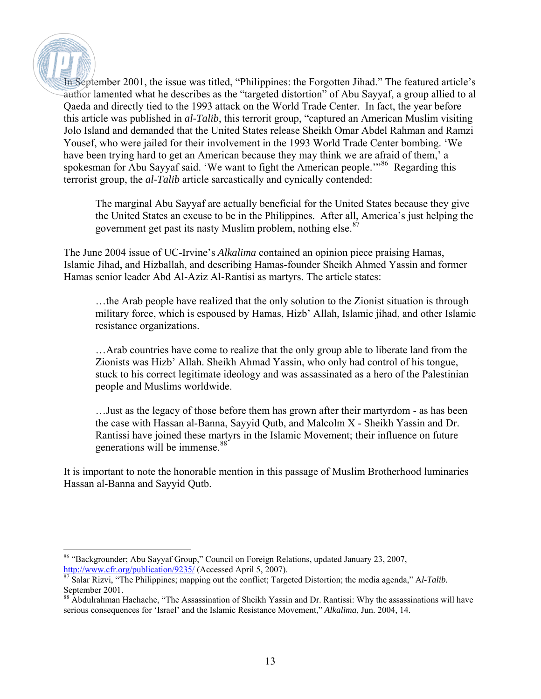In September 2001, the issue was titled, "Philippines: the Forgotten Jihad." The featured article's author lamented what he describes as the "targeted distortion" of Abu Sayyaf, a group allied to al Qaeda and directly tied to the 1993 attack on the World Trade Center. In fact, the year before this article was published in *al-Talib*, this terrorit group, "captured an American Muslim visiting Jolo Island and demanded that the United States release Sheikh Omar Abdel Rahman and Ramzi Yousef, who were jailed for their involvement in the 1993 World Trade Center bombing. 'We have been trying hard to get an American because they may think we are afraid of them,' a spokesman for Abu Sayyaf said. 'We want to fight the American people.'"<sup>[86](#page-12-0)</sup> Regarding this terrorist group, the *al-Talib* article sarcastically and cynically contended:

The marginal Abu Sayyaf are actually beneficial for the United States because they give the United States an excuse to be in the Philippines. After all, America's just helping the government get past its nasty Muslim problem, nothing else.<sup>[87](#page-12-1)</sup>

The June 2004 issue of UC-Irvine's *Alkalima* contained an opinion piece praising Hamas, Islamic Jihad, and Hizballah, and describing Hamas-founder Sheikh Ahmed Yassin and former Hamas senior leader Abd Al-Aziz Al-Rantisi as martyrs. The article states:

…the Arab people have realized that the only solution to the Zionist situation is through military force, which is espoused by Hamas, Hizb' Allah, Islamic jihad, and other Islamic resistance organizations.

…Arab countries have come to realize that the only group able to liberate land from the Zionists was Hizb' Allah. Sheikh Ahmad Yassin, who only had control of his tongue, stuck to his correct legitimate ideology and was assassinated as a hero of the Palestinian people and Muslims worldwide.

…Just as the legacy of those before them has grown after their martyrdom - as has been the case with Hassan al-Banna, Sayyid Qutb, and Malcolm X - Sheikh Yassin and Dr. Rantissi have joined these martyrs in the Islamic Movement; their influence on future generations will be immense.<sup>[88](#page-12-2)</sup>

It is important to note the honorable mention in this passage of Muslim Brotherhood luminaries Hassan al-Banna and Sayyid Qutb.

<span id="page-12-0"></span> $\overline{a}$ 86 "Backgrounder; Abu Sayyaf Group," Council on Foreign Relations, updated January 23, 2007, <http://www.cfr.org/publication/9235/> (Accessed April 5, 2007).

<span id="page-12-1"></span><sup>87</sup> Salar Rizvi, "The Philippines; mapping out the conflict; Targeted Distortion; the media agenda," A*l-Talib.* September 2001.

<span id="page-12-2"></span><sup>&</sup>lt;sup>88</sup> Abdulrahman Hachache, "The Assassination of Sheikh Yassin and Dr. Rantissi: Why the assassinations will have serious consequences for 'Israel' and the Islamic Resistance Movement," *Alkalima*, Jun. 2004, 14.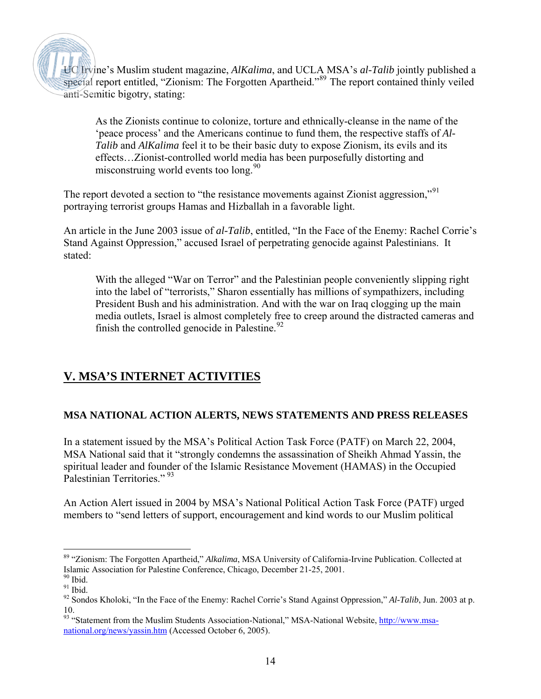UC Irvine's Muslim student magazine, *AlKalima*, and UCLA MSA's *al-Talib* jointly published a special report entitled, "Zionism: The Forgotten Apartheid."<sup>[89](#page-13-0)</sup> The report contained thinly veiled anti-Semitic bigotry, stating:

As the Zionists continue to colonize, torture and ethnically-cleanse in the name of the 'peace process' and the Americans continue to fund them, the respective staffs of *Al-Talib* and *AlKalima* feel it to be their basic duty to expose Zionism, its evils and its effects…Zionist-controlled world media has been purposefully distorting and misconstruing world events too long. $90$ 

The report devoted a section to "the resistance movements against Zionist aggression,"[91](#page-13-2) portraying terrorist groups Hamas and Hizballah in a favorable light.

An article in the June 2003 issue of *al-Talib*, entitled, "In the Face of the Enemy: Rachel Corrie's Stand Against Oppression," accused Israel of perpetrating genocide against Palestinians. It stated:

With the alleged "War on Terror" and the Palestinian people conveniently slipping right into the label of "terrorists," Sharon essentially has millions of sympathizers, including President Bush and his administration. And with the war on Iraq clogging up the main media outlets, Israel is almost completely free to creep around the distracted cameras and finish the controlled genocide in Palestine. $92$ 

### **V. MSA'S INTERNET ACTIVITIES**

#### **MSA NATIONAL ACTION ALERTS, NEWS STATEMENTS AND PRESS RELEASES**

In a statement issued by the MSA's Political Action Task Force (PATF) on March 22, 2004, MSA National said that it "strongly condemns the assassination of Sheikh Ahmad Yassin, the spiritual leader and founder of the Islamic Resistance Movement (HAMAS) in the Occupied Palestinian Territories<sup>", [93](#page-13-4)</sup>

An Action Alert issued in 2004 by MSA's National Political Action Task Force (PATF) urged members to "send letters of support, encouragement and kind words to our Muslim political

 $\overline{a}$ 

<span id="page-13-0"></span><sup>89 &</sup>quot;Zionism: The Forgotten Apartheid," *Alkalima*, MSA University of California-Irvine Publication. Collected at Islamic Association for Palestine Conference, Chicago, December 21-25, 2001.

<span id="page-13-1"></span> $90$  Ibid.

<span id="page-13-2"></span> $91$  Ibid.

<span id="page-13-3"></span><sup>92</sup> Sondos Kholoki, "In the Face of the Enemy: Rachel Corrie's Stand Against Oppression," *Al-Talib*, Jun. 2003 at p. 10.

<span id="page-13-4"></span><sup>93 &</sup>quot;Statement from the Muslim Students Association-National," MSA-National Website, [http://www.msa](http://www.msa-national.org/news/yassin.htm)[national.org/news/yassin.htm](http://www.msa-national.org/news/yassin.htm) (Accessed October 6, 2005).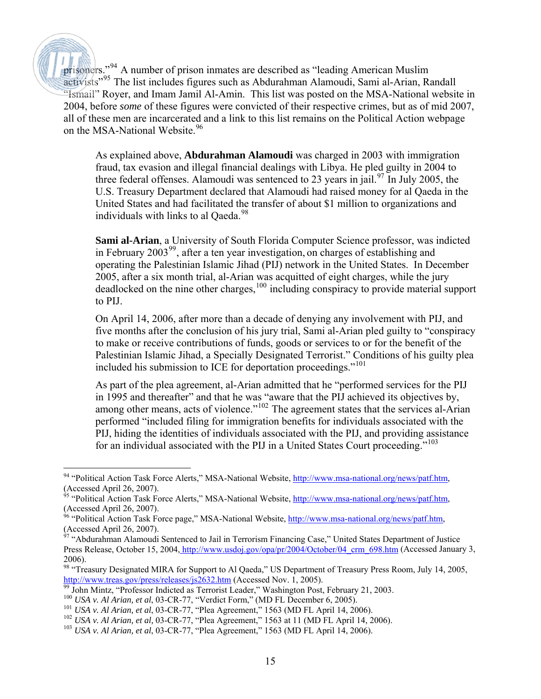prisoners."[94](#page-14-0) A number of prison inmates are described as "leading American Muslim activists"[95](#page-14-1) The list includes figures such as Abdurahman Alamoudi, Sami al-Arian, Randall "Ismail" Royer, and Imam Jamil Al-Amin. This list was posted on the MSA-National website in 2004, before *some* of these figures were convicted of their respective crimes, but as of mid 2007, all of these men are incarcerated and a link to this list remains on the Political Action webpage on the MSA-National Website.<sup>[96](#page-14-2)</sup>

As explained above, **Abdurahman Alamoudi** was charged in 2003 with immigration fraud, tax evasion and illegal financial dealings with Libya. He pled guilty in 2004 to three federal offenses. Alamoudi was sentenced to 23 years in jail.<sup>[97](#page-14-3)</sup> In July 2005, the U.S. Treasury Department declared that Alamoudi had raised money for al Qaeda in the United States and had facilitated the transfer of about \$1 million to organizations and individuals with links to al Oaeda.<sup>[98](#page-14-4)</sup>

**Sami al-Arian**, a University of South Florida Computer Science professor, was indicted in February  $2003^{99}$  $2003^{99}$  $2003^{99}$ , after a ten year investigation, on charges of establishing and operating the Palestinian Islamic Jihad (PIJ) network in the United States. In December 2005, after a six month trial, al-Arian was acquitted of eight charges, while the jury deadlocked on the nine other charges,<sup>[100](#page-14-6)</sup> including conspiracy to provide material support to PIJ.

On April 14, 2006, after more than a decade of denying any involvement with PIJ, and five months after the conclusion of his jury trial, Sami al-Arian pled guilty to "conspiracy to make or receive contributions of funds, goods or services to or for the benefit of the Palestinian Islamic Jihad, a Specially Designated Terrorist." Conditions of his guilty plea included his submission to ICE for deportation proceedings."<sup>[101](#page-14-7)</sup>

As part of the plea agreement, al-Arian admitted that he "performed services for the PIJ in 1995 and thereafter" and that he was "aware that the PIJ achieved its objectives by, among other means, acts of violence."<sup>[102](#page-14-8)</sup> The agreement states that the services al-Arian performed "included filing for immigration benefits for individuals associated with the PIJ, hiding the identities of individuals associated with the PIJ, and providing assistance for an individual associated with the PIJ in a United States Court proceeding."<sup>[103](#page-14-9)</sup>

 $\overline{a}$ 

<span id="page-14-0"></span><sup>&</sup>lt;sup>94</sup> "Political Action Task Force Alerts," MSA-National Website, [http://www.msa-national.org/news/patf.htm,](http://www.msa-national.org/news/patf.htm) (Accessed April 26, 2007).

<span id="page-14-1"></span><sup>&</sup>lt;sup>95</sup> "Political Action Task Force Alerts," MSA-National Website, [http://www.msa-national.org/news/patf.htm,](http://www.msa-national.org/news/patf.htm) (Accessed April 26, 2007).

<span id="page-14-2"></span><sup>&</sup>lt;sup>96</sup> "Political Action Task Force page," MSA-National Website,<http://www.msa-national.org/news/patf.htm>, (Accessed April 26, 2007).

<span id="page-14-3"></span><sup>&</sup>lt;sup>97</sup> "Abdurahman Alamoudi Sentenced to Jail in Terrorism Financing Case," United States Department of Justice Press Release, October 15, 2004, [http://www.usdoj.gov/opa/pr/2004/October/04\\_crm\\_698.htm](http://www.usdoj.gov/usao/vae/ArchivePress/OctoberPDFArchive/04/AlamoudiSent101504.pdf) (Accessed January 3, 2006).

<span id="page-14-4"></span><sup>&</sup>lt;sup>98</sup> "Treasury Designated MIRA for Support to Al Qaeda," US Department of Treasury Press Room, July 14, 2005, <http://www.treas.gov/press/releases/js2632.htm>(Accessed Nov. 1, 2005).

<span id="page-14-5"></span> $\frac{99}{99}$  John Mintz, "Professor Indicted as Terrorist Leader," Washington Post, February 21, 2003.

<span id="page-14-6"></span><sup>100</sup> *USA v. Al Arian, et al*, 03-CR-77, "Verdict Form," (MD FL December 6, 2005).

<span id="page-14-7"></span><sup>101</sup> *USA v. Al Arian, et al*, 03-CR-77, "Plea Agreement," 1563 (MD FL April 14, 2006).

<span id="page-14-8"></span><sup>102</sup> *USA v. Al Arian, et al,* 03-CR-77, "Plea Agreement," 1563 at 11 (MD FL April 14, 2006).

<span id="page-14-9"></span><sup>103</sup> *USA v. Al Arian, et al*, 03-CR-77, "Plea Agreement," 1563 (MD FL April 14, 2006).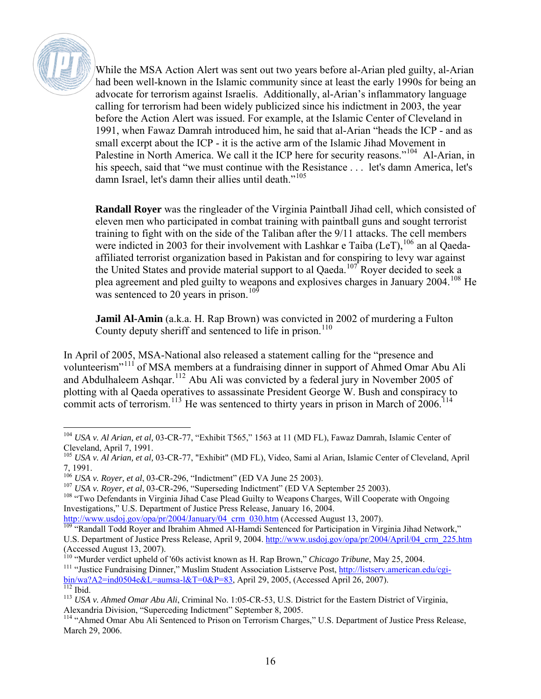

While the MSA Action Alert was sent out two years before al-Arian pled guilty, al-Arian had been well-known in the Islamic community since at least the early 1990s for being an advocate for terrorism against Israelis. Additionally, al-Arian's inflammatory language calling for terrorism had been widely publicized since his indictment in 2003, the year before the Action Alert was issued. For example, at the Islamic Center of Cleveland in 1991, when Fawaz Damrah introduced him, he said that al-Arian "heads the ICP - and as small excerpt about the ICP - it is the active arm of the Islamic Jihad Movement in Palestine in North America. We call it the ICP here for security reasons."<sup>[104](#page-15-0)</sup> Al-Arian, in his speech, said that "we must continue with the Resistance . . . let's damn America, let's damn Israel, let's damn their allies until death."<sup>[105](#page-15-1)</sup>

**Randall Royer** was the ringleader of the Virginia Paintball Jihad cell, which consisted of eleven men who participated in combat training with paintball guns and sought terrorist training to fight with on the side of the Taliban after the 9/11 attacks. The cell members were indicted in 2003 for their involvement with Lashkar e Taiba  $(LeT)$ ,  $106$  an al Qaedaaffiliated terrorist organization based in Pakistan and for conspiring to levy war against the United States and provide material support to al Qaeda.<sup>[107](#page-15-3)</sup> Royer decided to seek a plea agreement and pled guilty to weapons and explosives charges in January 2004.[108](#page-15-4) He was sentenced to 20 years in prison.<sup>[109](#page-15-5)</sup>

**Jamil Al-Amin** (a.k.a. H. Rap Brown) was convicted in 2002 of murdering a Fulton County deputy sheriff and sentenced to life in prison.<sup>[110](#page-15-6)</sup>

In April of 2005, MSA-National also released a statement calling for the "presence and volunteerism"[111](#page-15-7) of MSA members at a fundraising dinner in support of Ahmed Omar Abu Ali and Abdulhaleem Ashqar.[112](#page-15-8) Abu Ali was convicted by a federal jury in November 2005 of plotting with al Qaeda operatives to assassinate President George W. Bush and conspiracy to commit acts of terrorism.<sup>[113](#page-15-9)</sup> He was sentenced to thirty years in prison in March of  $2006$ .<sup>[114](#page-15-10)</sup>

<u>.</u>

<span id="page-15-0"></span><sup>104</sup> *USA v. Al Arian, et al,* 03-CR-77, "Exhibit T565," 1563 at 11 (MD FL), Fawaz Damrah, Islamic Center of Cleveland, April 7, 1991.

<span id="page-15-1"></span><sup>105</sup> *USA v. Al Arian, et al,* 03-CR-77, "Exhibit" (MD FL), Video, Sami al Arian, Islamic Center of Cleveland, April 7, 1991.

<span id="page-15-2"></span><sup>106</sup> *USA v. Royer, et al*, 03-CR-296, "Indictment" (ED VA June 25 2003).

<span id="page-15-3"></span><sup>107</sup> *USA v. Royer, et al*, 03-CR-296, "Superseding Indictment" (ED VA September 25 2003).

<span id="page-15-4"></span><sup>&</sup>lt;sup>108</sup> "Two Defendants in Virginia Jihad Case Plead Guilty to Weapons Charges, Will Cooperate with Ongoing Investigations," U.S. Department of Justice Press Release, January 16, 2004.

[http://www.usdoj.gov/opa/pr/2004/January/04\\_crm\\_030.htm](http://www.usdoj.gov/opa/pr/2004/January/04_crm_030.htm) (Accessed August 13, 2007).

<span id="page-15-5"></span><sup>&</sup>lt;sup>109</sup> "Randall Todd Royer and Ibrahim Ahmed Al-Hamdi Sentenced for Participation in Virginia Jihad Network," U.S. Department of Justice Press Release, April 9, 2004. [http://www.usdoj.gov/opa/pr/2004/April/04\\_crm\\_225.htm](http://www.usdoj.gov/opa/pr/2004/April/04_crm_225.htm) (Accessed August 13, 2007).<br><sup>110</sup> "Murder verdict upheld of '60s activist known as H. Rap Brown," *Chicago Tribune*, May 25, 2004.

<span id="page-15-7"></span><span id="page-15-6"></span><sup>&</sup>lt;sup>111</sup> "Justice Fundraising Dinner," Muslim Student Association Listserve Post, *[http://listserv.american.edu/cgi](http://listserv.american.edu/cgi-bin/wa?A2=ind0504e&L=aumsa-l&T=0&P=83)*[bin/wa?A2=ind0504e&L=aumsa-l&T=0&P=83](http://listserv.american.edu/cgi-bin/wa?A2=ind0504e&L=aumsa-l&T=0&P=83), April 29, 2005, (Accessed April 26, 2007). [112](http://listserv.american.edu/cgi-bin/wa?A2=ind0504e&L=aumsa-l&T=0&P=83) Ibid.

<span id="page-15-8"></span>

<span id="page-15-9"></span><sup>113</sup> *USA v. Ahmed Omar Abu Ali*, Criminal No. 1:05-CR-53, U.S. District for the Eastern District of Virginia, Alexandria Division, "Superceding Indictment" September 8, 2005.

<span id="page-15-10"></span><sup>&</sup>lt;sup>114</sup> "Ahmed Omar Abu Ali Sentenced to Prison on Terrorism Charges," U.S. Department of Justice Press Release, March 29, 2006.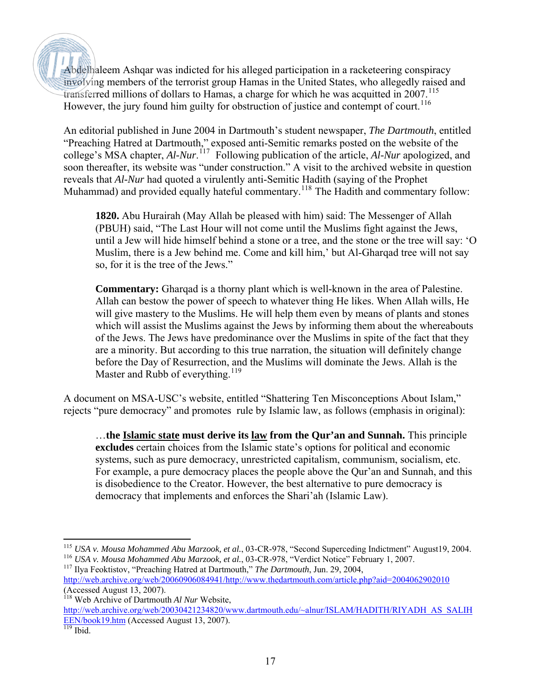Abdelhaleem Ashqar was indicted for his alleged participation in a racketeering conspiracy involving members of the terrorist group Hamas in the United States, who allegedly raised and transferred millions of dollars to Hamas, a charge for which he was acquitted in  $2007$ .<sup>[115](#page-16-0)</sup> However, the jury found him guilty for obstruction of justice and contempt of court.<sup>[116](#page-16-1)</sup>

An editorial published in June 2004 in Dartmouth's student newspaper, *The Dartmouth*, entitled "Preaching Hatred at Dartmouth," exposed anti-Semitic remarks posted on the website of the college's MSA chapter, *Al-Nur*. [117](#page-16-2) Following publication of the article, *Al-Nur* apologized, and soon thereafter, its website was "under construction." A visit to the archived website in question reveals that *Al-Nur* had quoted a virulently anti-Semitic Hadith (saying of the Prophet Muhammad) and provided equally hateful commentary.<sup>[118](#page-16-3)</sup> The Hadith and commentary follow:

**1820.** Abu Hurairah (May Allah be pleased with him) said: The Messenger of Allah (PBUH) said, "The Last Hour will not come until the Muslims fight against the Jews, until a Jew will hide himself behind a stone or a tree, and the stone or the tree will say: 'O Muslim, there is a Jew behind me. Come and kill him,' but Al-Gharqad tree will not say so, for it is the tree of the Jews."

**Commentary:** Gharqad is a thorny plant which is well-known in the area of Palestine. Allah can bestow the power of speech to whatever thing He likes. When Allah wills, He will give mastery to the Muslims. He will help them even by means of plants and stones which will assist the Muslims against the Jews by informing them about the whereabouts of the Jews. The Jews have predominance over the Muslims in spite of the fact that they are a minority. But according to this true narration, the situation will definitely change before the Day of Resurrection, and the Muslims will dominate the Jews. Allah is the Master and Rubb of everything.<sup>[119](#page-16-4)</sup>

A document on MSA-USC's website, entitled "Shattering Ten Misconceptions About Islam," rejects "pure democracy" and promotes rule by Islamic law, as follows (emphasis in original):

…**the Islamic state must derive its law from the Qur'an and Sunnah.** This principle **excludes** certain choices from the Islamic state's options for political and economic systems, such as pure democracy, unrestricted capitalism, communism, socialism, etc. For example, a pure democracy places the people above the Qur'an and Sunnah, and this is disobedience to the Creator. However, the best alternative to pure democracy is democracy that implements and enforces the Shari'ah (Islamic Law).

<span id="page-16-3"></span>118 Web Archive of Dartmouth *Al Nur* Website, [http://web.archive.org/web/20030421234820/www.dartmouth.edu/~alnur/ISLAM/HADITH/RIYADH\\_AS\\_SALIH](http://web.archive.org/web/20030421234820/www.dartmouth.edu/%7Ealnur/ISLAM/HADITH/RIYADH_AS_SALIHEEN/book19.htm) [EEN/book19.htm](http://web.archive.org/web/20030421234820/www.dartmouth.edu/%7Ealnur/ISLAM/HADITH/RIYADH_AS_SALIHEEN/book19.htm) (Accessed August 13, 2007).

<span id="page-16-0"></span><sup>-</sup><sup>115</sup> *USA v. Mousa Mohammed Abu Marzook, et al.*, 03-CR-978, "Second Superceding Indictment" August19, 2004. <sup>116</sup> *USA v. Mousa Mohammed Abu Marzook, et al.*, 03-CR-978, "Verdict Notice" February 1, 2007.

<span id="page-16-2"></span><span id="page-16-1"></span><sup>117</sup> Ilya Feoktistov, "Preaching Hatred at Dartmouth," *The Dartmouth*, Jun. 29, 2004, http://web.archive.org/web/20060906084941/http://www.thedartmouth.com/article.php?aid=2004062902010 (Accessed August 13, 2007).

<span id="page-16-4"></span> $119$  Ibid.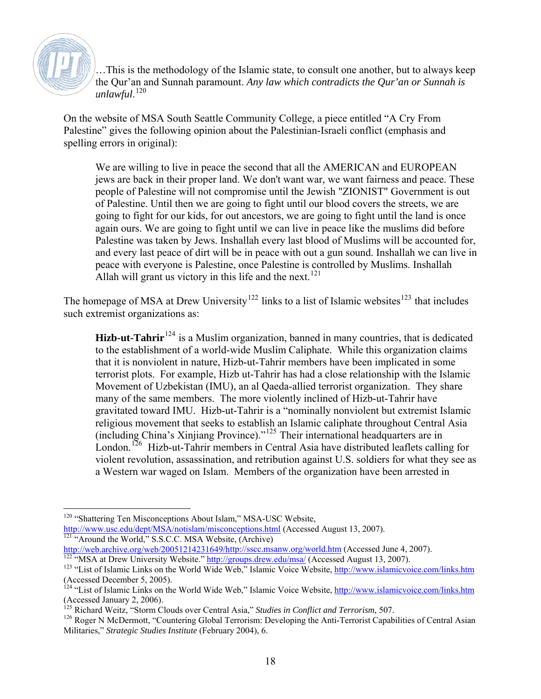

…This is the methodology of the Islamic state, to consult one another, but to always keep the Qur'an and Sunnah paramount. *Any law which contradicts the Qur'an or Sunnah is unlawful*. [120](#page-17-0)

On the website of MSA South Seattle Community College, a piece entitled "A Cry From Palestine" gives the following opinion about the Palestinian-Israeli conflict (emphasis and spelling errors in original):

We are willing to live in peace the second that all the AMERICAN and EUROPEAN jews are back in their proper land. We don't want war, we want fairness and peace. These people of Palestine will not compromise until the Jewish "ZIONIST" Government is out of Palestine. Until then we are going to fight until our blood covers the streets, we are going to fight for our kids, for out ancestors, we are going to fight until the land is once again ours. We are going to fight until we can live in peace like the muslims did before Palestine was taken by Jews. Inshallah every last blood of Muslims will be accounted for, and every last peace of dirt will be in peace with out a gun sound. Inshallah we can live in peace with everyone is Palestine, once Palestine is controlled by Muslims. Inshallah Allah will grant us victory in this life and the next.<sup>[121](#page-17-1)</sup>

The homepage of MSA at Drew University<sup>[122](#page-17-2)</sup> links to a list of Islamic websites<sup>[123](#page-17-3)</sup> that includes such extremist organizations as:

**Hizb-ut-Tahrir**<sup>[124](#page-17-4)</sup> is a Muslim organization, banned in many countries, that is dedicated to the establishment of a world-wide Muslim Caliphate. While this organization claims that it is nonviolent in nature, Hizb-ut-Tahrir members have been implicated in some terrorist plots. For example, Hizb ut-Tahrir has had a close relationship with the Islamic Movement of Uzbekistan (IMU), an al Qaeda-allied terrorist organization. They share many of the same members. The more violently inclined of Hizb-ut-Tahrir have gravitated toward IMU. Hizb-ut-Tahrir is a "nominally nonviolent but extremist Islamic religious movement that seeks to establish an Islamic caliphate throughout Central Asia (including China's Xinjiang Province)."[125](#page-17-5) Their international headquarters are in London.<sup>[126](#page-17-6)</sup> Hizb-ut-Tahrir members in Central Asia have distributed leaflets calling for violent revolution, assassination, and retribution against U.S. soldiers for what they see as a Western war waged on Islam. Members of the organization have been arrested in

 $\overline{a}$ <sup>120</sup> "Shattering Ten Misconceptions About Islam," MSA-USC Website,

<span id="page-17-1"></span><span id="page-17-0"></span><http://www.usc.edu/dept/MSA/notislam/misconceptions.html>(Accessed August 13, 2007).<br><sup>[121](http://www.usc.edu/dept/MSA/notislam/misconceptions.html)</sup> "Around the World," S.S.C.C. MSA Website, (Archive)<br>http://web.archive.org/web/20051214231649/http://sscc.msanw.org/world.htm (Acce

<span id="page-17-2"></span>http://groups.drew.edu/msa/ (Accessed August 13, 2007).

<span id="page-17-3"></span><sup>&</sup>lt;sup>123</sup> "List of Islamic Links on the World Wide Web," Islamic Voice Website, <http://www.islamicvoice.com/links.htm> (Accessed December 5, 2005).

<span id="page-17-4"></span><sup>&</sup>lt;sup>124</sup> "List of Islamic Links on the World Wide Web," Islamic Voice Website, <http://www.islamicvoice.com/links.htm> (Accessed January 2, 2006).

<sup>125</sup> Richard Weitz, "Storm Clouds over Central Asia," *Studies in Conflict and Terrorism*, 507.

<span id="page-17-6"></span><span id="page-17-5"></span><sup>&</sup>lt;sup>126</sup> Roger N McDermott, "Countering Global Terrorism: Developing the Anti-Terrorist Capabilities of Central Asian Militaries," *Strategic Studies Institute* (February 2004), 6.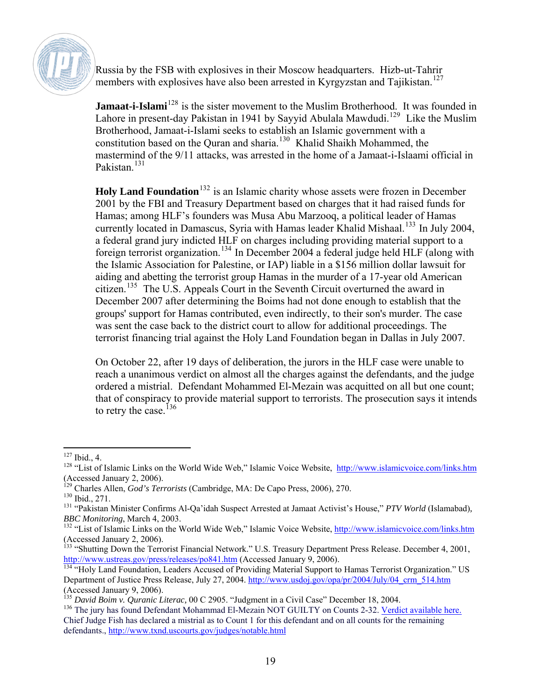

Russia by the FSB with explosives in their Moscow headquarters. Hizb-ut-Tahrir members with explosives have also been arrested in Kyrgyzstan and Tajikistan.<sup>[127](#page-18-0)</sup>

**Jamaat-i-Islami**<sup>[128](#page-18-1)</sup> is the sister movement to the Muslim Brotherhood. It was founded in Lahore in present-day Pakistan in 1941 by Sayyid Abulala Mawdudi.<sup>[129](#page-18-2)</sup> Like the Muslim Brotherhood, Jamaat-i-Islami seeks to establish an Islamic government with a constitution based on the Quran and sharia.<sup>[130](#page-18-3)</sup> Khalid Shaikh Mohammed, the mastermind of the 9/11 attacks, was arrested in the home of a Jamaat-i-Islaami official in Pakistan<sup>[131](#page-18-4)</sup>

**Holy Land Foundation**<sup>[132](#page-18-5)</sup> is an Islamic charity whose assets were frozen in December 2001 by the FBI and Treasury Department based on charges that it had raised funds for Hamas; among HLF's founders was Musa Abu Marzooq, a political leader of Hamas currently located in Damascus, Syria with Hamas leader Khalid Mishaal.<sup>[133](#page-18-6)</sup> In July 2004, a federal grand jury indicted HLF on charges including providing material support to a foreign terrorist organization.[134](#page-18-7) In December 2004 a federal judge held HLF (along with the Islamic Association for Palestine, or IAP) liable in a \$156 million dollar lawsuit for aiding and abetting the terrorist group Hamas in the murder of a 17-year old American citizen.<sup>[135](#page-18-8)</sup> The U.S. Appeals Court in the Seventh Circuit overturned the award in December 2007 after determining the Boims had not done enough to establish that the groups' support for Hamas contributed, even indirectly, to their son's murder. The case was sent the case back to the district court to allow for additional proceedings. The terrorist financing trial against the Holy Land Foundation began in Dallas in July 2007.

On October 22, after 19 days of deliberation, the jurors in the HLF case were unable to reach a unanimous verdict on almost all the charges against the defendants, and the judge ordered a mistrial. Defendant Mohammed El-Mezain was acquitted on all but one count; that of conspiracy to provide material support to terrorists. The prosecution says it intends to retry the case.<sup>[136](#page-18-9)</sup>

 $\overline{a}$  $127$  Ibid., 4.

<span id="page-18-1"></span><span id="page-18-0"></span><sup>&</sup>lt;sup>128</sup> "List of Islamic Links on the World Wide Web," Islamic Voice Website, <http://www.islamicvoice.com/links.htm> (Accessed January 2, 2006).

<sup>129</sup> Charles Allen, *God's Terrorists* (Cambridge, MA: De Capo Press, 2006), 270.

<span id="page-18-3"></span><span id="page-18-2"></span><sup>130</sup> Ibid., 271.

<span id="page-18-4"></span><sup>131 &</sup>quot;Pakistan Minister Confirms Al-Qa'idah Suspect Arrested at Jamaat Activist's House," *PTV World* (Islamabad)*, BBC Monitoring*, March 4, 2003.

<span id="page-18-5"></span><sup>&</sup>lt;sup>132</sup> "List of Islamic Links on the World Wide Web," Islamic Voice Website, <http://www.islamicvoice.com/links.htm> (Accessed January 2, 2006).

<span id="page-18-6"></span><sup>&</sup>lt;sup>133</sup> "Shutting Down the Terrorist Financial Network." U.S. Treasury Department Press Release. December 4, 2001, http://www.ustreas.gov/press/releases/po841.htm (Accessed January 9, 2006).

<span id="page-18-7"></span><sup>&</sup>lt;sup>134 "</sup>Holy Land Foundation, Leaders Accused of Providing Material Support to Hamas Terrorist Organization." US Department of Justice Press Release, July 27, 2004. [http://www.usdoj.gov/opa/pr/2004/July/04\\_crm\\_514.htm](http://www.usdoj.gov/opa/pr/2004/July/04_crm_514.htm) (Accessed January 9, 2006).

<span id="page-18-8"></span><sup>135</sup> *David Boim v. Quranic Literac,* 00 C 2905. "Judgment in a Civil Case" December 18, 2004.

<span id="page-18-9"></span><sup>&</sup>lt;sup>136</sup> The jury has found Defendant Mohammad El-Mezain NOT GUILTY on Counts 2-32. [Verdict available here.](http://www.txnd.uscourts.gov/pdf/info_center/hlf_ver.pdf) Chief Judge Fish has declared a mistrial as to Count 1 for this defendant and on all counts for the remaining defendants., <http://www.txnd.uscourts.gov/judges/notable.html>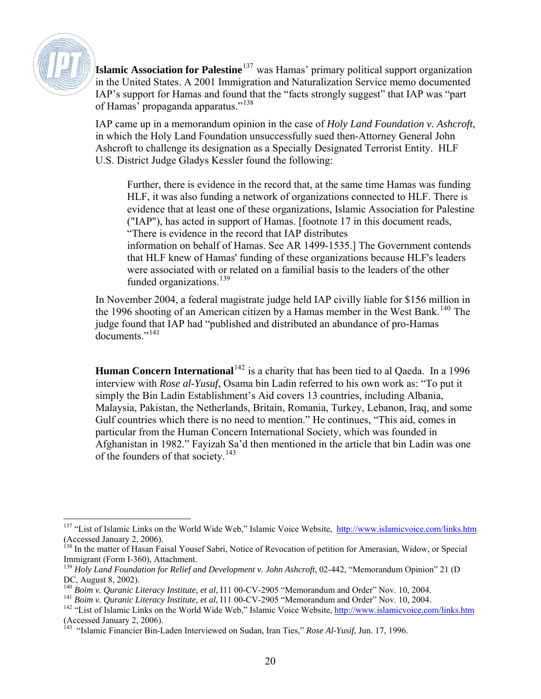

**Islamic Association for Palestine**[137](#page-19-0) was Hamas' primary political support organization in the United States. A 2001 Immigration and Naturalization Service memo documented IAP's support for Hamas and found that the "facts strongly suggest" that IAP was "part of Hamas' propaganda apparatus."<sup>[138](#page-19-1)</sup>

IAP came up in a memorandum opinion in the case of *Holy Land Foundation v. Ashcroft*, in which the Holy Land Foundation unsuccessfully sued then-Attorney General John Ashcroft to challenge its designation as a Specially Designated Terrorist Entity. HLF U.S. District Judge Gladys Kessler found the following:

Further, there is evidence in the record that, at the same time Hamas was funding HLF, it was also funding a network of organizations connected to HLF. There is evidence that at least one of these organizations, Islamic Association for Palestine ("IAP"), has acted in support of Hamas. [footnote 17 in this document reads, "There is evidence in the record that IAP distributes

information on behalf of Hamas. See AR 1499-1535.] The Government contends that HLF knew of Hamas' funding of these organizations because HLF's leaders were associated with or related on a familial basis to the leaders of the other funded organizations. $^{139}$  $^{139}$  $^{139}$ 

In November 2004, a federal magistrate judge held IAP civilly liable for \$156 million in the 1996 shooting of an American citizen by a Hamas member in the West Bank.<sup>[140](#page-19-3)</sup> The judge found that IAP had "published and distributed an abundance of pro-Hamas documents."[141](#page-19-4)

**Human Concern International**<sup>[142](#page-19-5)</sup> is a charity that has been tied to al Qaeda. In a 1996 interview with *Rose al-Yusuf*, Osama bin Ladin referred to his own work as: "To put it simply the Bin Ladin Establishment's Aid covers 13 countries, including Albania, Malaysia, Pakistan, the Netherlands, Britain, Romania, Turkey, Lebanon, Iraq, and some Gulf countries which there is no need to mention." He continues, "This aid, comes in particular from the Human Concern International Society, which was founded in Afghanistan in 1982." Fayizah Sa'd then mentioned in the article that bin Ladin was one of the founders of that society.<sup>[143](#page-19-6)</sup>

<span id="page-19-0"></span> $\overline{a}$ <sup>137</sup> "List of Islamic Links on the World Wide Web," Islamic Voice Website, <http://www.islamicvoice.com/links.htm> (Accessed January 2, 2006).

<span id="page-19-1"></span><sup>&</sup>lt;sup>138</sup> In the matter of Hasan Faisal Yousef Sabri, Notice of Revocation of petition for Amerasian, Widow, or Special Immigrant (Form I-360), Attachment.

<span id="page-19-2"></span><sup>&</sup>lt;sup>139</sup> Holy Land Foundation for Relief and Development v. John Ashcroft, 02-442, "Memorandum Opinion" 21 (D DC, August 8, 2002).<br><sup>140</sup> Boim v. Quranic Literacy Institute, et al, I11 00-CV-2905 "Memorandum and Order" Nov. 10, 2004.

<span id="page-19-3"></span>

<span id="page-19-4"></span><sup>&</sup>lt;sup>141</sup> Boim v. Quranic Literacy Institute, et al, I11 00-CV-2905 "Memorandum and Order" Nov. 10, 2004.<br><sup>142</sup> "List of Islamic Links on the World Wide Web," Islamic Voice Website,  $\frac{http://www.islamicvoice.com/links.htm}{http://www.islamicvoice.com/links.htm}$  $\frac{http://www.islamicvoice.com/links.htm}{http://www.islamicvoice.com/links.htm}$  $\frac{http://www.islamicvoice.com/links.htm}{http://www.islamicvoice.com/links.htm}$ 

<span id="page-19-5"></span><sup>(</sup>Accessed January 2, 2006).

<span id="page-19-6"></span><sup>143</sup> "Islamic Financier Bin-Laden Interviewed on Sudan, Iran Ties," *Rose Al-Yusif*, Jun. 17, 1996.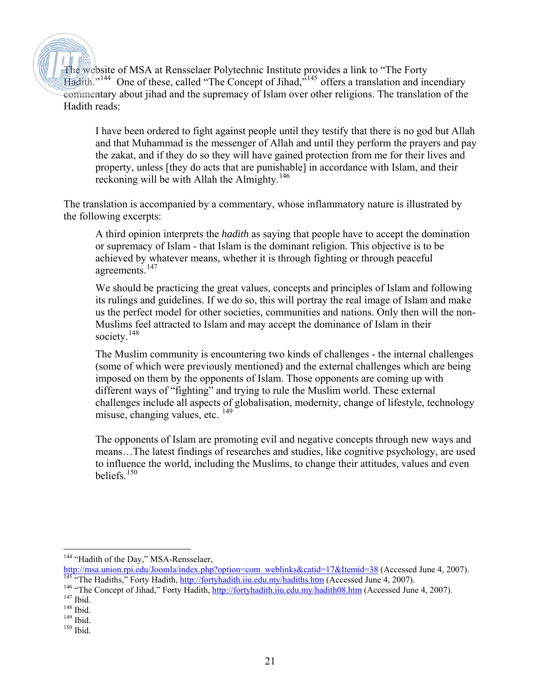The website of MSA at Rensselaer Polytechnic Institute provides a link to "The Forty Hadith."[144](#page-20-0) One of these, called "The Concept of Jihad,"[145](#page-20-1) offers a translation and incendiary commentary about jihad and the supremacy of Islam over other religions. The translation of the Hadith reads:

I have been ordered to fight against people until they testify that there is no god but Allah and that Muhammad is the messenger of Allah and until they perform the prayers and pay the zakat, and if they do so they will have gained protection from me for their lives and property, unless [they do acts that are punishable] in accordance with Islam, and their reckoning will be with Allah the Almighty.<sup>[146](#page-20-2)</sup>

The translation is accompanied by a commentary, whose inflammatory nature is illustrated by the following excerpts:

A third opinion interprets the *hadith* as saying that people have to accept the domination or supremacy of Islam - that Islam is the dominant religion. This objective is to be achieved by whatever means, whether it is through fighting or through peaceful agreements.<sup>[147](#page-20-3)</sup>

We should be practicing the great values, concepts and principles of Islam and following its rulings and guidelines. If we do so, this will portray the real image of Islam and make us the perfect model for other societies, communities and nations. Only then will the non-Muslims feel attracted to Islam and may accept the dominance of Islam in their society.<sup>[148](#page-20-4)</sup>

The Muslim community is encountering two kinds of challenges - the internal challenges (some of which were previously mentioned) and the external challenges which are being imposed on them by the opponents of Islam. Those opponents are coming up with different ways of "fighting" and trying to rule the Muslim world. These external challenges include all aspects of globalisation, modernity, change of lifestyle, technology misuse, changing values, etc. <sup>[149](#page-20-5)</sup>

The opponents of Islam are promoting evil and negative concepts through new ways and means…The latest findings of researches and studies, like cognitive psychology, are used to influence the world, including the Muslims, to change their attitudes, values and even beliefs. $150$ 

<span id="page-20-1"></span><sup>146</sup> "The Concept of Jihad," Forty Hadith,<http://fortyhadith.iiu.edu.my/hadith08.htm>(Accessed June 4, 2007).

<span id="page-20-0"></span> $\overline{a}$ 

<sup>&</sup>lt;sup>144</sup> "Hadith of the Day," MSA-Rensselaer,

[http://msa.union.rpi.edu/Joomla/index.php?option=com\\_weblinks&catid=17&Itemid=38](http://msa.union.rpi.edu/Joomla/index.php?option=com_weblinks&catid=17&Itemid=38) (Accessed June 4, 2007). <sup>145</sup> "The Hadiths," Forty Hadith, <http://fortyhadith.iiu.edu.my/hadiths.htm>(Accessed June 4, 2007).

<span id="page-20-3"></span><span id="page-20-2"></span><sup>147</sup> Ibid.

<span id="page-20-4"></span><sup>148</sup> Ibid.

 $149$  Ibid.

<span id="page-20-6"></span><span id="page-20-5"></span><sup>150</sup> Ibid.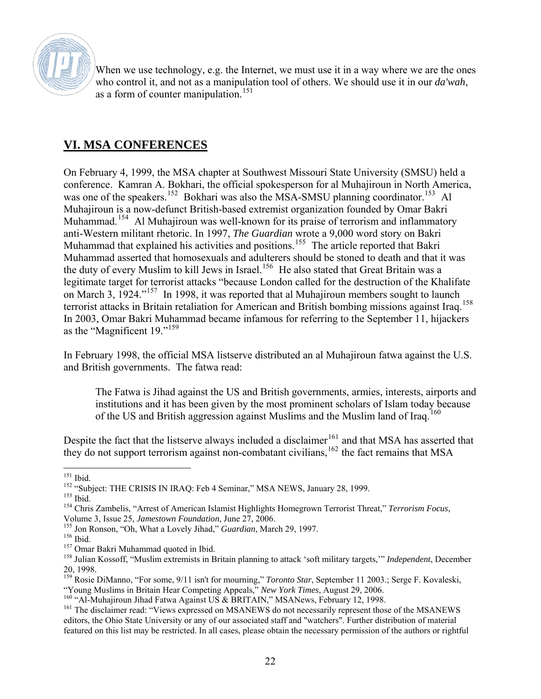

When we use technology, e.g. the Internet, we must use it in a way where we are the ones who control it, and not as a manipulation tool of others. We should use it in our *da'wah*, as a form of counter manipulation.<sup>[151](#page-21-0)</sup>

### **VI. MSA CONFERENCES**

On February 4, 1999, the MSA chapter at Southwest Missouri State University (SMSU) held a conference. Kamran A. Bokhari, the official spokesperson for al Muhajiroun in North America, was one of the speakers.<sup>[152](#page-21-1)</sup> Bokhari was also the MSA-SMSU planning coordinator.<sup>[153](#page-21-2)</sup> Al Muhajiroun is a now-defunct British-based extremist organization founded by Omar Bakri Muhammad.<sup>[154](#page-21-3)</sup> Al Muhajiroun was well-known for its praise of terrorism and inflammatory anti-Western militant rhetoric. In 1997, *The Guardian* wrote a 9,000 word story on Bakri Muhammad that explained his activities and positions.<sup>[155](#page-21-4)</sup> The article reported that Bakri Muhammad asserted that homosexuals and adulterers should be stoned to death and that it was the duty of every Muslim to kill Jews in Israel.<sup>[156](#page-21-5)</sup> He also stated that Great Britain was a legitimate target for terrorist attacks "because London called for the destruction of the Khalifate on March 3, 1924."[157](#page-21-6) In 1998, it was reported that al Muhajiroun members sought to launch terrorist attacks in Britain retaliation for American and British bombing missions against Iraq.<sup>[158](#page-21-7)</sup> In 2003, Omar Bakri Muhammad became infamous for referring to the September 11, hijackers as the "Magnificent 19."[159](#page-21-8)

In February 1998, the official MSA listserve distributed an al Muhajiroun fatwa against the U.S. and British governments. The fatwa read:

The Fatwa is Jihad against the US and British governments, armies, interests, airports and institutions and it has been given by the most prominent scholars of Islam today because of the US and British aggression against Muslims and the Muslim land of Iraq.<sup>1</sup>

Despite the fact that the listserve always included a disclaimer<sup>[161](#page-21-10)</sup> and that MSA has asserted that they do not support terrorism against non-combatant civilians,  $162$  the fact remains that MSA

<span id="page-21-4"></span>155 Jon Ronson, "Oh, What a Lovely Jihad," *Guardian*, March 29, 1997.

 $\overline{a}$ <sup>151</sup> Ibid.

<span id="page-21-1"></span><span id="page-21-0"></span><sup>&</sup>lt;sup>152</sup> "Subject: THE CRISIS IN IRAQ: Feb 4 Seminar," MSA NEWS, January 28, 1999.

<span id="page-21-2"></span> $153$  Ibid.

<span id="page-21-3"></span><sup>154</sup> Chris Zambelis, "Arrest of American Islamist Highlights Homegrown Terrorist Threat," *Terrorism Focus*, Volume 3, Issue 25, *Jamestown Foundation*, June 27, 2006.

<span id="page-21-5"></span><sup>156</sup> Ibid.

<sup>&</sup>lt;sup>157</sup> Omar Bakri Muhammad quoted in Ibid.

<span id="page-21-7"></span><span id="page-21-6"></span><sup>158</sup> Julian Kossoff, "Muslim extremists in Britain planning to attack 'soft military targets,'" *Independent*, December 20, 1998.

<span id="page-21-11"></span><span id="page-21-8"></span><sup>&</sup>lt;sup>159</sup> Rosie DiManno, "For some, 9/11 isn't for mourning," *Toronto Star*, September 11 2003.; Serge F. Kovaleski, "Young Muslims in Britain Hear Competing Appeals," *New York Times*, August 29, 2006.

<span id="page-21-9"></span><sup>&</sup>lt;sup>160</sup> "Al-Muhajiroun Jihad Fatwa Against US & BRITAIN," MSANews, February 12, 1998.

<span id="page-21-10"></span><sup>&</sup>lt;sup>161</sup> The disclaimer read: "Views expressed on MSANEWS do not necessarily represent those of the MSANEWS editors, the Ohio State University or any of our associated staff and "watchers". Further distribution of material featured on this list may be restricted. In all cases, please obtain the necessary permission of the authors or rightful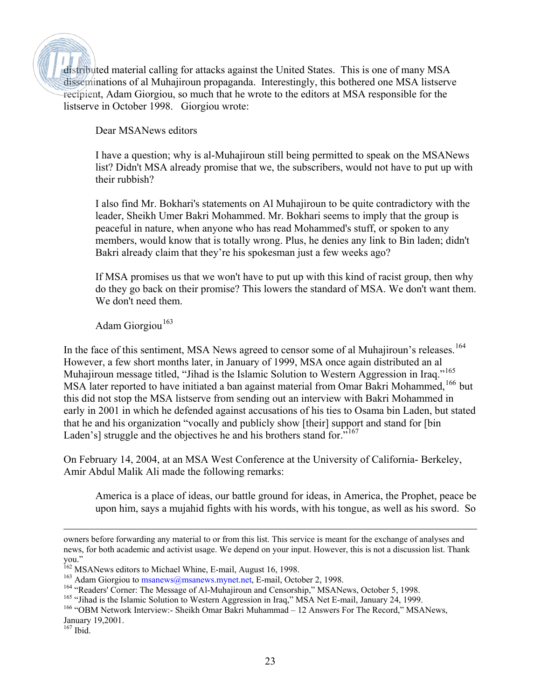distributed material calling for attacks against the United States. This is one of many MSA disseminations of al Muhajiroun propaganda. Interestingly, this bothered one MSA listserve recipient, Adam Giorgiou, so much that he wrote to the editors at MSA responsible for the listserve in October 1998. Giorgiou wrote:

Dear MSANews editors

I have a question; why is al-Muhajiroun still being permitted to speak on the MSANews list? Didn't MSA already promise that we, the subscribers, would not have to put up with their rubbish?

I also find Mr. Bokhari's statements on Al Muhajiroun to be quite contradictory with the leader, Sheikh Umer Bakri Mohammed. Mr. Bokhari seems to imply that the group is peaceful in nature, when anyone who has read Mohammed's stuff, or spoken to any members, would know that is totally wrong. Plus, he denies any link to Bin laden; didn't Bakri already claim that they're his spokesman just a few weeks ago?

If MSA promises us that we won't have to put up with this kind of racist group, then why do they go back on their promise? This lowers the standard of MSA. We don't want them. We don't need them.

Adam Giorgiou<sup>[163](#page-22-0)</sup>

In the face of this sentiment, MSA News agreed to censor some of al Muhajiroun's releases.<sup>[164](#page-22-1)</sup> However, a few short months later, in January of 1999, MSA once again distributed an al Muhajiroun message titled, "Jihad is the Islamic Solution to Western Aggression in Iraq."<sup>[165](#page-22-2)</sup> MSA later reported to have initiated a ban against material from Omar Bakri Mohammed,<sup>[166](#page-22-3)</sup> but this did not stop the MSA listserve from sending out an interview with Bakri Mohammed in early in 2001 in which he defended against accusations of his ties to Osama bin Laden, but stated that he and his organization "vocally and publicly show [their] support and stand for [bin Laden's] struggle and the objectives he and his brothers stand for."<sup>[167](#page-22-4)</sup>

On February 14, 2004, at an MSA West Conference at the University of California- Berkeley, Amir Abdul Malik Ali made the following remarks:

America is a place of ideas, our battle ground for ideas, in America, the Prophet, peace be upon him, says a mujahid fights with his words, with his tongue, as well as his sword. So

owners before forwarding any material to or from this list. This service is meant for the exchange of analyses and news, for both academic and activist usage. We depend on your input. However, this is not a discussion list. Thank you."

<sup>&</sup>lt;sup>162</sup> MSANews editors to Michael Whine, E-mail, August 16, 1998.

<span id="page-22-0"></span><sup>&</sup>lt;sup>163</sup> Adam Giorgiou to [msanews@msanews.mynet.net,](mailto:msanews@msanews.mynet.net) E-mail, October 2, 1998.

<span id="page-22-1"></span><sup>&</sup>lt;sup>164</sup> "Readers' Corner: The Message of Al-Muhajiroun and Censorship," MSANews, October 5, 1998.

<span id="page-22-2"></span><sup>&</sup>lt;sup>165</sup> "Jihad is the Islamic Solution to Western Aggression in Iraq," MSA Net E-mail, January 24, 1999.

<span id="page-22-3"></span><sup>166 &</sup>quot;OBM Network Interview:- Sheikh Omar Bakri Muhammad – 12 Answers For The Record," MSANews, January 19,2001.

<span id="page-22-4"></span><sup>167</sup> Ibid.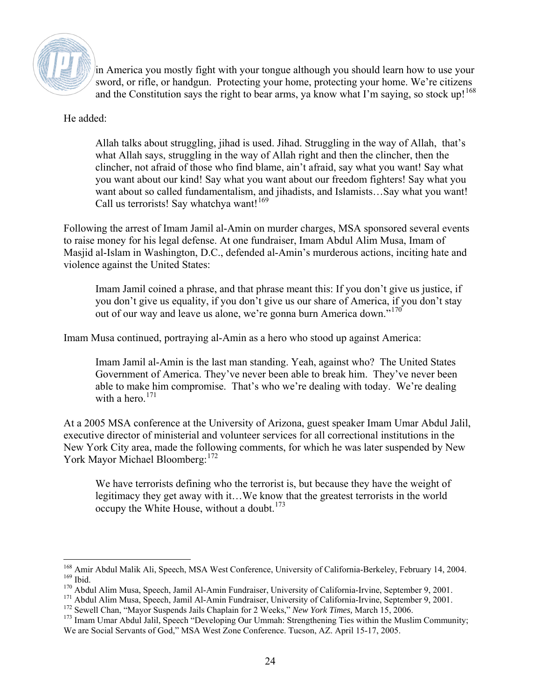

in America you mostly fight with your tongue although you should learn how to use your sword, or rifle, or handgun. Protecting your home, protecting your home. We're citizens and the Constitution says the right to bear arms, ya know what I'm saying, so stock up!<sup>[168](#page-23-0)</sup>

He added:

Allah talks about struggling, jihad is used. Jihad. Struggling in the way of Allah, that's what Allah says, struggling in the way of Allah right and then the clincher, then the clincher, not afraid of those who find blame, ain't afraid, say what you want! Say what you want about our kind! Say what you want about our freedom fighters! Say what you want about so called fundamentalism, and jihadists, and Islamists…Say what you want! Call us terrorists! Say whatchya want!<sup>[169](#page-23-1)</sup>

Following the arrest of Imam Jamil al-Amin on murder charges, MSA sponsored several events to raise money for his legal defense. At one fundraiser, Imam Abdul Alim Musa, Imam of Masjid al-Islam in Washington, D.C., defended al-Amin's murderous actions, inciting hate and violence against the United States:

Imam Jamil coined a phrase, and that phrase meant this: If you don't give us justice, if you don't give us equality, if you don't give us our share of America, if you don't stay out of our way and leave us alone, we're gonna burn America down."<sup>[170](#page-23-2)</sup>

Imam Musa continued, portraying al-Amin as a hero who stood up against America:

Imam Jamil al-Amin is the last man standing. Yeah, against who? The United States Government of America. They've never been able to break him. They've never been able to make him compromise. That's who we're dealing with today. We're dealing with a hero.  $171$ 

At a 2005 MSA conference at the University of Arizona, guest speaker Imam Umar Abdul Jalil, executive director of ministerial and volunteer services for all correctional institutions in the New York City area, made the following comments, for which he was later suspended by New York Mayor Michael Bloomberg:<sup>[172](#page-23-4)</sup>

We have terrorists defining who the terrorist is, but because they have the weight of legitimacy they get away with it…We know that the greatest terrorists in the world occupy the White House, without a doubt.<sup>[173](#page-23-5)</sup>

<span id="page-23-0"></span> $\overline{a}$ <sup>168</sup> Amir Abdul Malik Ali, Speech, MSA West Conference, University of California-Berkeley, February 14, 2004. 169 Ibid.

<span id="page-23-2"></span><span id="page-23-1"></span><sup>&</sup>lt;sup>170</sup> Abdul Alim Musa, Speech, Jamil Al-Amin Fundraiser, University of California-Irvine, September 9, 2001.

<sup>&</sup>lt;sup>171</sup> Abdul Alim Musa, Speech, Jamil Al-Amin Fundraiser, University of California-Irvine, September 9, 2001.

<span id="page-23-4"></span><span id="page-23-3"></span><sup>172</sup> Sewell Chan, "Mayor Suspends Jails Chaplain for 2 Weeks," *New York Times,* March 15, 2006.

<span id="page-23-5"></span><sup>&</sup>lt;sup>173</sup> Imam Umar Abdul Jalil, Speech "Developing Our Ummah: Strengthening Ties within the Muslim Community; We are Social Servants of God," MSA West Zone Conference. Tucson, AZ. April 15-17, 2005.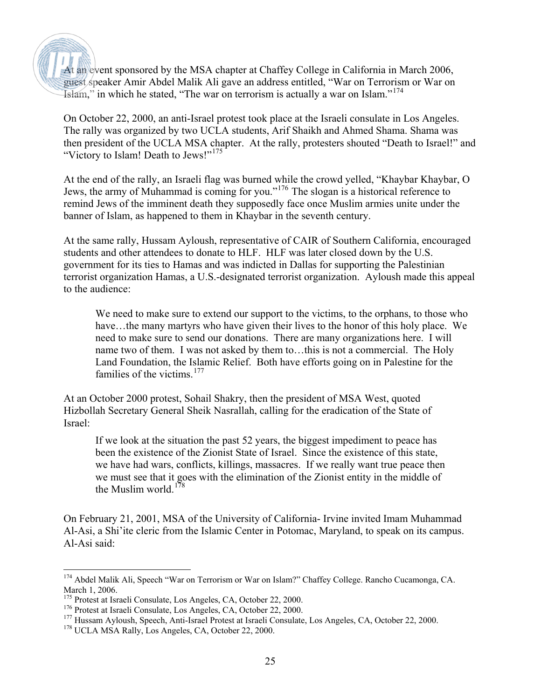At an event sponsored by the MSA chapter at Chaffey College in California in March 2006, guest speaker Amir Abdel Malik Ali gave an address entitled, "War on Terrorism or War on Islam," in which he stated, "The war on terrorism is actually a war on Islam."<sup>[174](#page-24-0)</sup>

On October 22, 2000, an anti-Israel protest took place at the Israeli consulate in Los Angeles. The rally was organized by two UCLA students, Arif Shaikh and Ahmed Shama. Shama was then president of the UCLA MSA chapter. At the rally, protesters shouted "Death to Israel!" and "Victory to Islam! Death to Jews!"<sup>[175](#page-24-1)</sup>

At the end of the rally, an Israeli flag was burned while the crowd yelled, "Khaybar Khaybar, O Jews, the army of Muhammad is coming for you."[176](#page-24-2) The slogan is a historical reference to remind Jews of the imminent death they supposedly face once Muslim armies unite under the banner of Islam, as happened to them in Khaybar in the seventh century.

At the same rally, Hussam Ayloush, representative of CAIR of Southern California, encouraged students and other attendees to donate to HLF. HLF was later closed down by the U.S. government for its ties to Hamas and was indicted in Dallas for supporting the Palestinian terrorist organization Hamas, a U.S.-designated terrorist organization. Ayloush made this appeal to the audience:

We need to make sure to extend our support to the victims, to the orphans, to those who have...the many martyrs who have given their lives to the honor of this holy place. We need to make sure to send our donations. There are many organizations here. I will name two of them. I was not asked by them to…this is not a commercial. The Holy Land Foundation, the Islamic Relief. Both have efforts going on in Palestine for the families of the victims. $177$ 

At an October 2000 protest, Sohail Shakry, then the president of MSA West, quoted Hizbollah Secretary General Sheik Nasrallah, calling for the eradication of the State of Israel:

If we look at the situation the past 52 years, the biggest impediment to peace has been the existence of the Zionist State of Israel. Since the existence of this state, we have had wars, conflicts, killings, massacres. If we really want true peace then we must see that it goes with the elimination of the Zionist entity in the middle of the Muslim world.[178](#page-24-4)

On February 21, 2001, MSA of the University of California- Irvine invited Imam Muhammad Al-Asi, a Shi'ite cleric from the Islamic Center in Potomac, Maryland, to speak on its campus. Al-Asi said:

<span id="page-24-0"></span> $\overline{a}$ <sup>174</sup> Abdel Malik Ali, Speech "War on Terrorism or War on Islam?" Chaffey College. Rancho Cucamonga, CA. March 1, 2006.

<span id="page-24-1"></span><sup>175</sup> Protest at Israeli Consulate, Los Angeles, CA, October 22, 2000.

<span id="page-24-2"></span><sup>176</sup> Protest at Israeli Consulate, Los Angeles, CA, October 22, 2000.

<span id="page-24-3"></span><sup>&</sup>lt;sup>177</sup> Hussam Ayloush, Speech, Anti-Israel Protest at Israeli Consulate, Los Angeles, CA, October 22, 2000.

<span id="page-24-4"></span><sup>&</sup>lt;sup>178</sup> UCLA MSA Rally, Los Angeles, CA, October 22, 2000.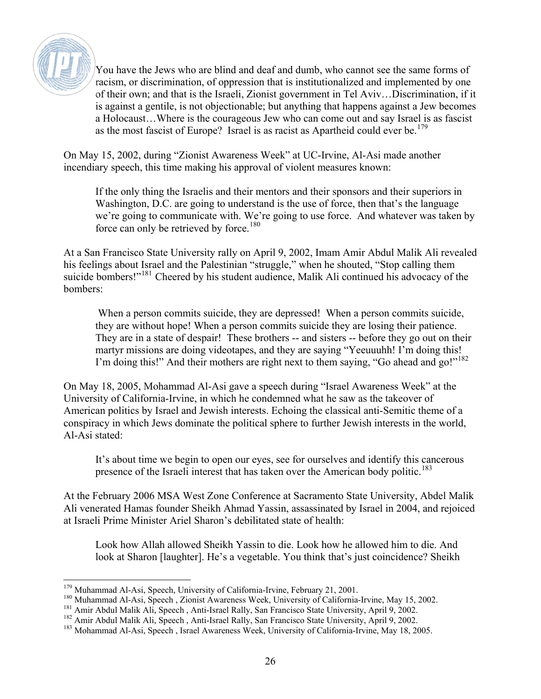

You have the Jews who are blind and deaf and dumb, who cannot see the same forms of racism, or discrimination, of oppression that is institutionalized and implemented by one of their own; and that is the Israeli, Zionist government in Tel Aviv…Discrimination, if it is against a gentile, is not objectionable; but anything that happens against a Jew becomes a Holocaust…Where is the courageous Jew who can come out and say Israel is as fascist as the most fascist of Europe? Israel is as racist as Apartheid could ever be.<sup>[179](#page-25-0)</sup>

On May 15, 2002, during "Zionist Awareness Week" at UC-Irvine, Al-Asi made another incendiary speech, this time making his approval of violent measures known:

If the only thing the Israelis and their mentors and their sponsors and their superiors in Washington, D.C. are going to understand is the use of force, then that's the language we're going to communicate with. We're going to use force. And whatever was taken by force can only be retrieved by force.<sup>[180](#page-25-1)</sup>

At a San Francisco State University rally on April 9, 2002, Imam Amir Abdul Malik Ali revealed his feelings about Israel and the Palestinian "struggle," when he shouted, "Stop calling them suicide bombers!"<sup>[181](#page-25-2)</sup> Cheered by his student audience, Malik Ali continued his advocacy of the bombers:

When a person commits suicide, they are depressed! When a person commits suicide, they are without hope! When a person commits suicide they are losing their patience. They are in a state of despair! These brothers -- and sisters -- before they go out on their martyr missions are doing videotapes, and they are saying "Yeeuuuhh! I'm doing this! I'm doing this!" And their mothers are right next to them saying, "Go ahead and go!"<sup>[182](#page-25-3)</sup>

On May 18, 2005, Mohammad Al-Asi gave a speech during "Israel Awareness Week" at the University of California-Irvine, in which he condemned what he saw as the takeover of American politics by Israel and Jewish interests. Echoing the classical anti-Semitic theme of a conspiracy in which Jews dominate the political sphere to further Jewish interests in the world, Al-Asi stated:

It's about time we begin to open our eyes, see for ourselves and identify this cancerous presence of the Israeli interest that has taken over the American body politic.<sup>[183](#page-25-4)</sup>

At the February 2006 MSA West Zone Conference at Sacramento State University, Abdel Malik Ali venerated Hamas founder Sheikh Ahmad Yassin, assassinated by Israel in 2004, and rejoiced at Israeli Prime Minister Ariel Sharon's debilitated state of health:

Look how Allah allowed Sheikh Yassin to die. Look how he allowed him to die. And look at Sharon [laughter]. He's a vegetable. You think that's just coincidence? Sheikh

 $\overline{a}$ <sup>179</sup> Muhammad Al-Asi, Speech, University of California-Irvine, February 21, 2001.

<span id="page-25-1"></span><span id="page-25-0"></span><sup>180</sup> Muhammad Al-Asi, Speech , Zionist Awareness Week, University of California-Irvine, May 15, 2002.

<span id="page-25-2"></span><sup>&</sup>lt;sup>181</sup> Amir Abdul Malik Ali, Speech, Anti-Israel Rally, San Francisco State University, April 9, 2002.

<span id="page-25-3"></span><sup>&</sup>lt;sup>182</sup> Amir Abdul Malik Ali, Speech, Anti-Israel Rally, San Francisco State University, April 9, 2002.

<span id="page-25-4"></span><sup>&</sup>lt;sup>183</sup> Mohammad Al-Asi, Speech, Israel Awareness Week, University of California-Irvine, May 18, 2005.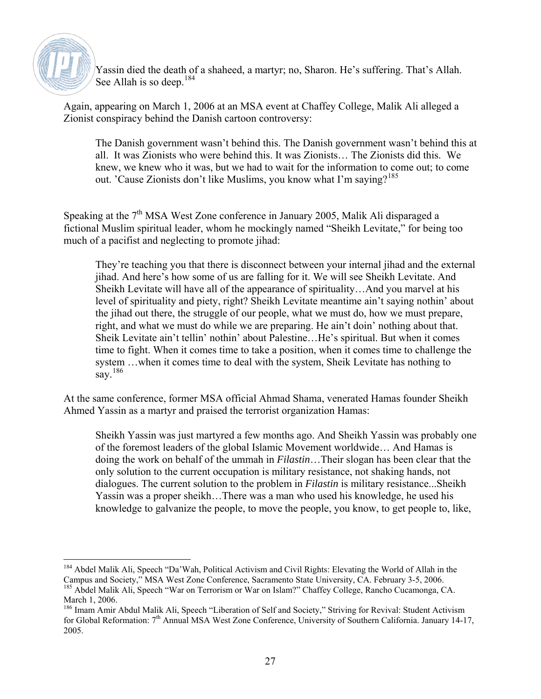

 $\overline{a}$ 

Yassin died the death of a shaheed, a martyr; no, Sharon. He's suffering. That's Allah. See Allah is so deep.<sup>[184](#page-26-0)</sup>

Again, appearing on March 1, 2006 at an MSA event at Chaffey College, Malik Ali alleged a Zionist conspiracy behind the Danish cartoon controversy:

The Danish government wasn't behind this. The Danish government wasn't behind this at all. It was Zionists who were behind this. It was Zionists… The Zionists did this. We knew, we knew who it was, but we had to wait for the information to come out; to come out. 'Cause Zionists don't like Muslims, you know what I'm saving?<sup>[185](#page-26-1)</sup>

Speaking at the 7<sup>th</sup> MSA West Zone conference in January 2005, Malik Ali disparaged a fictional Muslim spiritual leader, whom he mockingly named "Sheikh Levitate," for being too much of a pacifist and neglecting to promote jihad:

They're teaching you that there is disconnect between your internal jihad and the external jihad. And here's how some of us are falling for it. We will see Sheikh Levitate. And Sheikh Levitate will have all of the appearance of spirituality…And you marvel at his level of spirituality and piety, right? Sheikh Levitate meantime ain't saying nothin' about the jihad out there, the struggle of our people, what we must do, how we must prepare, right, and what we must do while we are preparing. He ain't doin' nothing about that. Sheik Levitate ain't tellin' nothin' about Palestine…He's spiritual. But when it comes time to fight. When it comes time to take a position, when it comes time to challenge the system …when it comes time to deal with the system, Sheik Levitate has nothing to say.  $186$ 

At the same conference, former MSA official Ahmad Shama, venerated Hamas founder Sheikh Ahmed Yassin as a martyr and praised the terrorist organization Hamas:

Sheikh Yassin was just martyred a few months ago. And Sheikh Yassin was probably one of the foremost leaders of the global Islamic Movement worldwide… And Hamas is doing the work on behalf of the ummah in *Filastin*…Their slogan has been clear that the only solution to the current occupation is military resistance, not shaking hands, not dialogues. The current solution to the problem in *Filastin* is military resistance...Sheikh Yassin was a proper sheikh…There was a man who used his knowledge, he used his knowledge to galvanize the people, to move the people, you know, to get people to, like,

<span id="page-26-0"></span><sup>&</sup>lt;sup>184</sup> Abdel Malik Ali, Speech "Da'Wah, Political Activism and Civil Rights: Elevating the World of Allah in the Campus and Society," MSA West Zone Conference, Sacramento State University, CA. February 3-5, 2006. 185 Abdel Malik Ali, Speech "War on Terrorism or War on Islam?" Chaffey College, Rancho Cucamonga, CA. March 1, 2006.

<span id="page-26-2"></span><span id="page-26-1"></span><sup>&</sup>lt;sup>186</sup> Imam Amir Abdul Malik Ali, Speech "Liberation of Self and Society," Striving for Revival: Student Activism for Global Reformation:  $7<sup>th</sup>$  Annual MSA West Zone Conference, University of Southern California. January 14-17, 2005.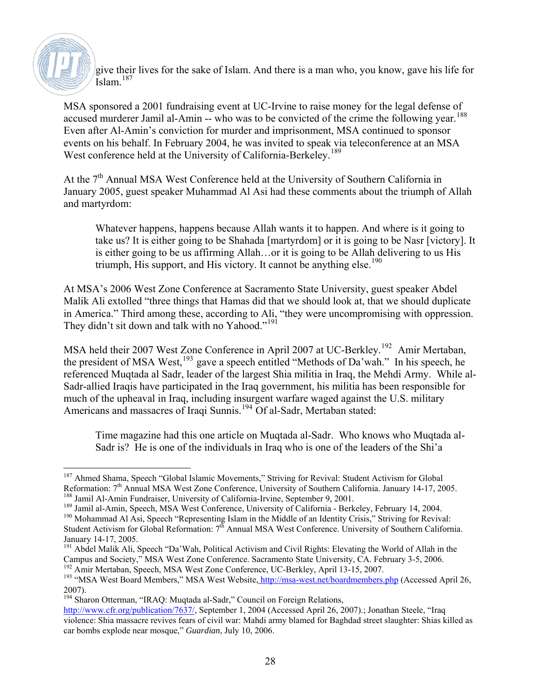

give their lives for the sake of Islam. And there is a man who, you know, gave his life for Islam $187$ 

MSA sponsored a 2001 fundraising event at UC-Irvine to raise money for the legal defense of accused murderer Jamil al-Amin -- who was to be convicted of the crime the following year.<sup>[188](#page-27-1)</sup> Even after Al-Amin's conviction for murder and imprisonment, MSA continued to sponsor events on his behalf. In February 2004, he was invited to speak via teleconference at an MSA West conference held at the University of California-Berkeley.<sup>[189](#page-27-2)</sup>

At the 7<sup>th</sup> Annual MSA West Conference held at the University of Southern California in January 2005, guest speaker Muhammad Al Asi had these comments about the triumph of Allah and martyrdom:

Whatever happens, happens because Allah wants it to happen. And where is it going to take us? It is either going to be Shahada [martyrdom] or it is going to be Nasr [victory]. It is either going to be us affirming Allah…or it is going to be Allah delivering to us His triumph, His support, and His victory. It cannot be anything else.<sup>[190](#page-27-3)</sup>

At MSA's 2006 West Zone Conference at Sacramento State University, guest speaker Abdel Malik Ali extolled "three things that Hamas did that we should look at, that we should duplicate in America." Third among these, according to Ali, "they were uncompromising with oppression. They didn't sit down and talk with no Yahood."<sup>[191](#page-27-4)</sup>

MSA held their 2007 West Zone Conference in April 2007 at UC-Berkley.<sup>[192](#page-27-5)</sup> Amir Mertaban, the president of MSA West,  $^{193}$  $^{193}$  $^{193}$  gave a speech entitled "Methods of Da'wah." In his speech, he referenced Muqtada al Sadr, leader of the largest Shia militia in Iraq, the Mehdi Army. While al-Sadr-allied Iraqis have participated in the Iraq government, his militia has been responsible for much of the upheaval in Iraq, including insurgent warfare waged against the U.S. military Americans and massacres of Iraqi Sunnis.<sup>[194](#page-27-7)</sup> Of al-Sadr, Mertaban stated:

Time magazine had this one article on Muqtada al-Sadr. Who knows who Muqtada al-Sadr is? He is one of the individuals in Iraq who is one of the leaders of the Shi'a

<span id="page-27-0"></span> $\overline{a}$ <sup>187</sup> Ahmed Shama, Speech "Global Islamic Movements," Striving for Revival: Student Activism for Global Reformation: 7<sup>th</sup> Annual MSA West Zone Conference, University of Southern California. January 14-17, 2005. 188 Jamil Al-Amin Fundraiser, University of California-Irvine, September 9, 2001.

<span id="page-27-2"></span><span id="page-27-1"></span><sup>&</sup>lt;sup>189</sup> Jamil al-Amin, Speech, MSA West Conference, University of California - Berkeley, February 14, 2004.

<span id="page-27-3"></span><sup>190</sup> Mohammad Al Asi, Speech "Representing Islam in the Middle of an Identity Crisis," Striving for Revival: Student Activism for Global Reformation: 7<sup>th</sup> Annual MSA West Conference. University of Southern California. January 14-17, 2005.

<span id="page-27-4"></span><sup>&</sup>lt;sup>191</sup> Abdel Malik Ali, Speech "Da'Wah, Political Activism and Civil Rights: Elevating the World of Allah in the Campus and Society," MSA West Zone Conference. Sacramento State University, CA. February 3-5, 2006. <sup>192</sup> Amir Mertaban, Speech, MSA West Zone Conference, UC-Berkley, April 13-15, 2007.

<span id="page-27-6"></span><span id="page-27-5"></span><sup>&</sup>lt;sup>193</sup> "MSA West Board Members," MSA West Website,<http://msa-west.net/boardmembers.php> (Accessed April 26, 2007).

<span id="page-27-7"></span><sup>194</sup> Sharon Otterman, "IRAQ: Muqtada al-Sadr," Council on Foreign Relations,

<http://www.cfr.org/publication/7637/>, September 1, 2004 (Accessed April 26, 2007).; Jonathan Steele, "Iraq violence: Shia massacre revives fears of civil war: Mahdi army blamed for Baghdad street slaughter: Shias killed as car bombs explode near mosque," *Guardian*, July 10, 2006.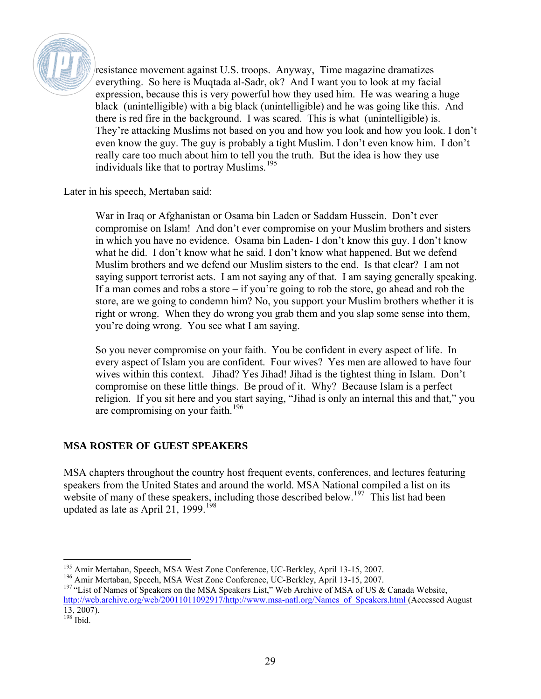

resistance movement against U.S. troops. Anyway, Time magazine dramatizes everything. So here is Muqtada al-Sadr, ok? And I want you to look at my facial expression, because this is very powerful how they used him. He was wearing a huge black (unintelligible) with a big black (unintelligible) and he was going like this. And there is red fire in the background. I was scared. This is what (unintelligible) is. They're attacking Muslims not based on you and how you look and how you look. I don't even know the guy. The guy is probably a tight Muslim. I don't even know him. I don't really care too much about him to tell you the truth. But the idea is how they use individuals like that to portray Muslims.<sup>[195](#page-28-0)</sup>

Later in his speech, Mertaban said:

War in Iraq or Afghanistan or Osama bin Laden or Saddam Hussein. Don't ever compromise on Islam! And don't ever compromise on your Muslim brothers and sisters in which you have no evidence. Osama bin Laden- I don't know this guy. I don't know what he did. I don't know what he said. I don't know what happened. But we defend Muslim brothers and we defend our Muslim sisters to the end. Is that clear? I am not saying support terrorist acts. I am not saying any of that. I am saying generally speaking. If a man comes and robs a store – if you're going to rob the store, go ahead and rob the store, are we going to condemn him? No, you support your Muslim brothers whether it is right or wrong. When they do wrong you grab them and you slap some sense into them, you're doing wrong. You see what I am saying.

So you never compromise on your faith. You be confident in every aspect of life. In every aspect of Islam you are confident. Four wives? Yes men are allowed to have four wives within this context. Jihad? Yes Jihad! Jihad is the tightest thing in Islam. Don't compromise on these little things. Be proud of it. Why? Because Islam is a perfect religion. If you sit here and you start saying, "Jihad is only an internal this and that," you are compromising on your faith.<sup>[196](#page-28-1)</sup>

#### **MSA ROSTER OF GUEST SPEAKERS**

MSA chapters throughout the country host frequent events, conferences, and lectures featuring speakers from the United States and around the world. MSA National compiled a list on its website of many of these speakers, including those described below.<sup>[197](#page-28-2)</sup> This list had been updated as late as April 21, 1999.<sup>[198](#page-28-3)</sup>

 $\overline{a}$ <sup>195</sup> Amir Mertaban, Speech, MSA West Zone Conference, UC-Berkley, April 13-15, 2007.

<span id="page-28-1"></span><span id="page-28-0"></span><sup>196</sup> Amir Mertaban, Speech, MSA West Zone Conference, UC-Berkley, April 13-15, 2007.

<span id="page-28-2"></span><sup>&</sup>lt;sup>197</sup> "List of Names of Speakers on the MSA Speakers List," Web Archive of MSA of US & Canada Website, http://web.archive.org/web/20011011092917/http://www.msa-natl.org/Names\_of\_Speakers.html (Accessed August 13, 2007).

<span id="page-28-3"></span> $198$  Ibid.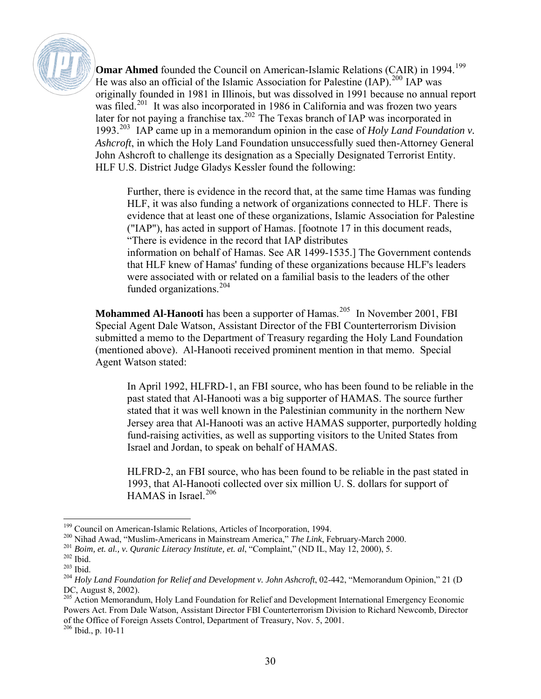

**Omar Ahmed** founded the Council on American-Islamic Relations (CAIR) in [199](#page-29-0)4.<sup>199</sup> He was also an official of the Islamic Association for Palestine (IAP).<sup>[200](#page-29-1)</sup> IAP was originally founded in 1981 in Illinois, but was dissolved in 1991 because no annual report was filed.<sup>[201](#page-29-2)</sup> It was also incorporated in 1986 in California and was frozen two years later for not paying a franchise tax.<sup>[202](#page-29-3)</sup> The Texas branch of IAP was incorporated in 1993.[203](#page-29-4) IAP came up in a memorandum opinion in the case of *Holy Land Foundation v. Ashcroft*, in which the Holy Land Foundation unsuccessfully sued then-Attorney General John Ashcroft to challenge its designation as a Specially Designated Terrorist Entity. HLF U.S. District Judge Gladys Kessler found the following:

Further, there is evidence in the record that, at the same time Hamas was funding HLF, it was also funding a network of organizations connected to HLF. There is evidence that at least one of these organizations, Islamic Association for Palestine ("IAP"), has acted in support of Hamas. [footnote 17 in this document reads, "There is evidence in the record that IAP distributes information on behalf of Hamas. See AR 1499-1535.] The Government contends that HLF knew of Hamas' funding of these organizations because HLF's leaders were associated with or related on a familial basis to the leaders of the other funded organizations.<sup>[204](#page-29-5)</sup>

**Mohammed Al-Hanooti** has been a supporter of Hamas.<sup>[205](#page-29-6)</sup> In November 2001, FBI Special Agent Dale Watson, Assistant Director of the FBI Counterterrorism Division submitted a memo to the Department of Treasury regarding the Holy Land Foundation (mentioned above). Al-Hanooti received prominent mention in that memo. Special Agent Watson stated:

In April 1992, HLFRD-1, an FBI source, who has been found to be reliable in the past stated that Al-Hanooti was a big supporter of HAMAS. The source further stated that it was well known in the Palestinian community in the northern New Jersey area that Al-Hanooti was an active HAMAS supporter, purportedly holding fund-raising activities, as well as supporting visitors to the United States from Israel and Jordan, to speak on behalf of HAMAS.

HLFRD-2, an FBI source, who has been found to be reliable in the past stated in 1993, that Al-Hanooti collected over six million U. S. dollars for support of HAMAS in Israel.<sup>[206](#page-29-7)</sup>

 $\overline{a}$ 

<span id="page-29-6"></span><sup>205</sup> Action Memorandum, Holy Land Foundation for Relief and Development International Emergency Economic Powers Act. From Dale Watson, Assistant Director FBI Counterterrorism Division to Richard Newcomb, Director of the Office of Foreign Assets Control, Department of Treasury, Nov. 5, 2001.

<span id="page-29-7"></span>206 Ibid., p. 10-11

<span id="page-29-0"></span><sup>&</sup>lt;sup>199</sup> Council on American-Islamic Relations, Articles of Incorporation, 1994.

<span id="page-29-1"></span><sup>200</sup> Nihad Awad, "Muslim-Americans in Mainstream America," *The Link*, February-March 2000.

<span id="page-29-2"></span><sup>201</sup> *Boim, et. al., v. Quranic Literacy Institute, et. al*, "Complaint," (ND IL, May 12, 2000), 5.

 $202$  Ibid.

<span id="page-29-4"></span><span id="page-29-3"></span><sup>203</sup> Ibid.

<span id="page-29-5"></span><sup>&</sup>lt;sup>204</sup> *Holy Land Foundation for Relief and Development v. John Ashcroft*, 02-442, "Memorandum Opinion," 21 (D DC, August 8, 2002).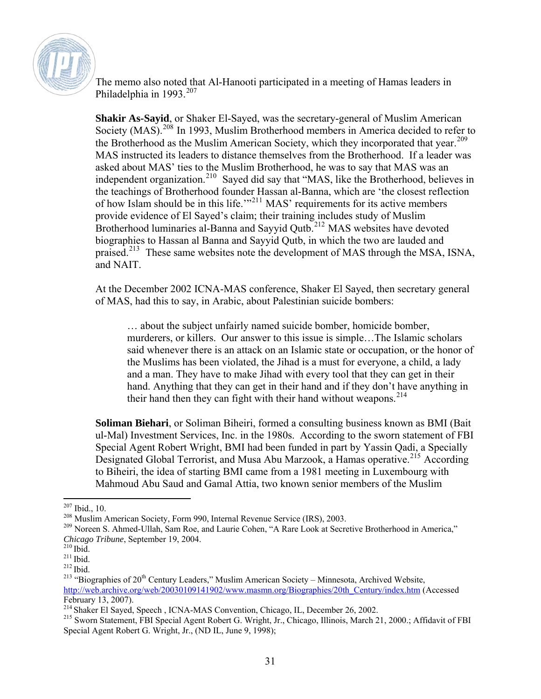

The memo also noted that Al-Hanooti participated in a meeting of Hamas leaders in Philadelphia in 1993.<sup>[207](#page-30-0)</sup>

**Shakir As-Sayid**, or Shaker El-Sayed, was the secretary-general of Muslim American Society (MAS).<sup>[208](#page-30-1)</sup> In 1993, Muslim Brotherhood members in America decided to refer to the Brotherhood as the Muslim American Society, which they incorporated that year.<sup>[209](#page-30-2)</sup> MAS instructed its leaders to distance themselves from the Brotherhood. If a leader was asked about MAS' ties to the Muslim Brotherhood, he was to say that MAS was an independent organization.<sup>[210](#page-30-3)</sup> Sayed did say that "MAS, like the Brotherhood, believes in the teachings of Brotherhood founder Hassan al-Banna, which are 'the closest reflection of how Islam should be in this life."<sup>[211](#page-30-4)</sup> MAS' requirements for its active members provide evidence of El Sayed's claim; their training includes study of Muslim Brotherhood luminaries al-Banna and Sayyid Qutb.<sup>[212](#page-30-5)</sup> MAS websites have devoted biographies to Hassan al Banna and Sayyid Qutb, in which the two are lauded and praised.<sup>[213](#page-30-6)</sup> These same websites note the development of MAS through the MSA, ISNA, and NAIT.

At the December 2002 ICNA-MAS conference, Shaker El Sayed, then secretary general of MAS, had this to say, in Arabic, about Palestinian suicide bombers:

… about the subject unfairly named suicide bomber, homicide bomber, murderers, or killers. Our answer to this issue is simple…The Islamic scholars said whenever there is an attack on an Islamic state or occupation, or the honor of the Muslims has been violated, the Jihad is a must for everyone, a child, a lady and a man. They have to make Jihad with every tool that they can get in their hand. Anything that they can get in their hand and if they don't have anything in their hand then they can fight with their hand without weapons.<sup>[214](#page-30-7)</sup>

**Soliman Biehari**, or Soliman Biheiri, formed a consulting business known as BMI (Bait ul-Mal) Investment Services, Inc. in the 1980s. According to the sworn statement of FBI Special Agent Robert Wright, BMI had been funded in part by Yassin Qadi, a Specially Designated Global Terrorist, and Musa Abu Marzook, a Hamas operative.<sup>[215](#page-30-8)</sup> According to Biheiri, the idea of starting BMI came from a 1981 meeting in Luxembourg with Mahmoud Abu Saud and Gamal Attia, two known senior members of the Muslim

<sup>&</sup>lt;u>.</u>  $207$  Ibid., 10.

<span id="page-30-1"></span><span id="page-30-0"></span><sup>208</sup> Muslim American Society, Form 990, Internal Revenue Service (IRS), 2003.

<span id="page-30-2"></span><sup>&</sup>lt;sup>209</sup> Noreen S. Ahmed-Ullah, Sam Roe, and Laurie Cohen, "A Rare Look at Secretive Brotherhood in America," *Chicago Tribune*, September 19, 2004.

<span id="page-30-5"></span><span id="page-30-4"></span><span id="page-30-3"></span> $^{211}$  Ibid.<br> $^{212}$  Ibid.

<span id="page-30-6"></span><sup>&</sup>lt;sup>213</sup> "Biographies of  $20<sup>th</sup>$  Century Leaders," Muslim American Society – Minnesota, Archived Website, [http://web.archive.org/web/20030109141902/www.masmn.org/Biographies/20th\\_Century/index.htm](http://web.archive.org/web/20030109141902/www.masmn.org/Biographies/20th_Century/index.htm) (Accessed February 13, 2007).

<span id="page-30-7"></span><sup>214</sup> Shaker El Sayed, Speech , ICNA-MAS Convention, Chicago, IL, December 26, 2002.

<span id="page-30-8"></span><sup>215</sup> Sworn Statement, FBI Special Agent Robert G. Wright, Jr., Chicago, Illinois, March 21, 2000.; Affidavit of FBI Special Agent Robert G. Wright, Jr., (ND IL, June 9, 1998);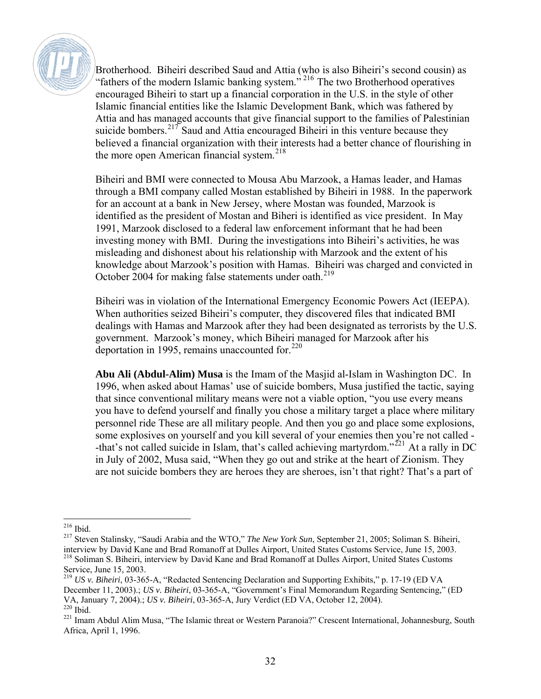

Brotherhood. Biheiri described Saud and Attia (who is also Biheiri's second cousin) as "fathers of the modern Islamic banking system."<sup>[216](#page-31-0)</sup> The two Brotherhood operatives encouraged Biheiri to start up a financial corporation in the U.S. in the style of other Islamic financial entities like the Islamic Development Bank, which was fathered by Attia and has managed accounts that give financial support to the families of Palestinian suicide bombers.<sup>[217](#page-31-1)</sup> Saud and Attia encouraged Biheiri in this venture because they believed a financial organization with their interests had a better chance of flourishing in the more open American financial system.<sup>[218](#page-31-2)</sup>

Biheiri and BMI were connected to Mousa Abu Marzook, a Hamas leader, and Hamas through a BMI company called Mostan established by Biheiri in 1988. In the paperwork for an account at a bank in New Jersey, where Mostan was founded, Marzook is identified as the president of Mostan and Biheri is identified as vice president. In May 1991, Marzook disclosed to a federal law enforcement informant that he had been investing money with BMI. During the investigations into Biheiri's activities, he was misleading and dishonest about his relationship with Marzook and the extent of his knowledge about Marzook's position with Hamas. Biheiri was charged and convicted in October 2004 for making false statements under oath.<sup>[219](#page-31-3)</sup>

Biheiri was in violation of the International Emergency Economic Powers Act (IEEPA). When authorities seized Biheiri's computer, they discovered files that indicated BMI dealings with Hamas and Marzook after they had been designated as terrorists by the U.S. government. Marzook's money, which Biheiri managed for Marzook after his deportation in 1995, remains unaccounted for. $220$ 

**Abu Ali (Abdul-Alim) Musa** is the Imam of the Masjid al-Islam in Washington DC. In 1996, when asked about Hamas' use of suicide bombers, Musa justified the tactic, saying that since conventional military means were not a viable option, "you use every means you have to defend yourself and finally you chose a military target a place where military personnel ride These are all military people. And then you go and place some explosions, some explosives on yourself and you kill several of your enemies then you're not called - -that's not called suicide in Islam, that's called achieving martyrdom."<sup>[221](#page-31-5)</sup> At a rally in DC in July of 2002, Musa said, "When they go out and strike at the heart of Zionism. They are not suicide bombers they are heroes they are sheroes, isn't that right? That's a part of

 $\overline{a}$ 216 Ibid.

<span id="page-31-1"></span><span id="page-31-0"></span><sup>217</sup> Steven Stalinsky, "Saudi Arabia and the WTO," *The New York Sun*, September 21, 2005; Soliman S. Biheiri, interview by David Kane and Brad Romanoff at Dulles Airport, United States Customs Service, June 15, 2003. 218 Soliman S. Biheiri, interview by David Kane and Brad Romanoff at Dulles Airport, United States Customs Service, June 15, 2003.

<span id="page-31-3"></span><span id="page-31-2"></span><sup>219</sup> *US v. Biheiri*, 03-365-A, "Redacted Sentencing Declaration and Supporting Exhibits," p. 17-19 (ED VA December 11, 2003).; *US v. Biheiri*, 03-365-A, "Government's Final Memorandum Regarding Sentencing," (ED VA, January 7, 2004).; *US v. Biheiri*, 03-365-A, Jury Verdict (ED VA, October 12, 2004).

<span id="page-31-5"></span><span id="page-31-4"></span><sup>&</sup>lt;sup>221</sup> Imam Abdul Alim Musa, "The Islamic threat or Western Paranoia?" Crescent International, Johannesburg, South Africa, April 1, 1996.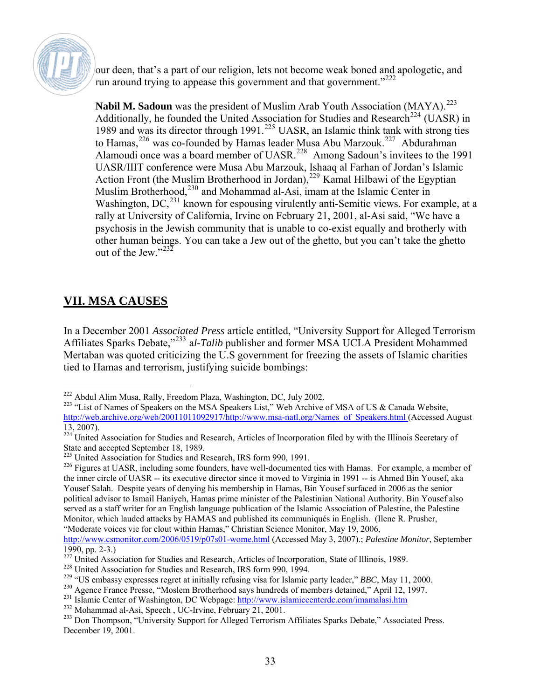

our deen, that's a part of our religion, lets not become weak boned and apologetic, and run around trying to appease this government and that government.<sup>"[222](#page-32-0)</sup>

**Nabil M. Sadoun** was the president of Muslim Arab Youth Association (MAYA).<sup>[223](#page-32-1)</sup> Additionally, he founded the United Association for Studies and Research<sup>[224](#page-32-2)</sup> (UASR) in 1989 and was its director through  $1991.225$  $1991.225$  UASR, an Islamic think tank with strong ties to Hamas,  $226$  was co-founded by Hamas leader Musa Abu Marzouk.<sup>[227](#page-32-5)</sup> Abdurahman Alamoudi once was a board member of UASR.<sup>[228](#page-32-6)</sup> Among Sadoun's invitees to the 1991 UASR/IIIT conference were Musa Abu Marzouk, Ishaaq al Farhan of Jordan's Islamic Action Front (the Muslim Brotherhood in Jordan),<sup>[229](#page-32-7)</sup> Kamal Hilbawi of the Egyptian Muslim Brotherhood,<sup>[230](#page-32-8)</sup> and Mohammad al-Asi, imam at the Islamic Center in Washington, DC,<sup>[231](#page-32-9)</sup> known for espousing virulently anti-Semitic views. For example, at a rally at University of California, Irvine on February 21, 2001, al-Asi said, "We have a psychosis in the Jewish community that is unable to co-exist equally and brotherly with other human beings. You can take a Jew out of the ghetto, but you can't take the ghetto out of the Jew." $^{232}$  $^{232}$  $^{232}$ 

### **VII. MSA CAUSES**

In a December 2001 *Associated Press* article entitled, "University Support for Alleged Terrorism Affiliates Sparks Debate,"[233](#page-32-11) a*l-Talib* publisher and former MSA UCLA President Mohammed Mertaban was quoted criticizing the U.S government for freezing the assets of Islamic charities tied to Hamas and terrorism, justifying suicide bombings:

 $\overline{a}$ <sup>222</sup> Abdul Alim Musa, Rally, Freedom Plaza, Washington, DC, July 2002.

<span id="page-32-1"></span><span id="page-32-0"></span><sup>&</sup>lt;sup>223</sup> "List of Names of Speakers on the MSA Speakers List," Web Archive of MSA of US & Canada Website, http://web.archive.org/web/20011011092917/http://www.msa-natl.org/Names\_of\_Speakers.html (Accessed August 13, 2007).

<span id="page-32-2"></span><sup>&</sup>lt;sup>224</sup> United Association for Studies and Research, Articles of Incorporation filed by with the Illinois Secretary of State and accepted September 18, 1989.

<span id="page-32-3"></span><sup>&</sup>lt;sup>225</sup> United Association for Studies and Research, IRS form 990, 1991.

<span id="page-32-4"></span><sup>&</sup>lt;sup>226</sup> Figures at UASR, including some founders, have well-documented ties with Hamas. For example, a member of the inner circle of UASR -- its executive director since it moved to Virginia in 1991 -- is Ahmed Bin Yousef, aka Yousef Salah. Despite years of denying his membership in Hamas, Bin Yousef surfaced in 2006 as the senior political advisor to Ismail Haniyeh, Hamas prime minister of the Palestinian National Authority. Bin Yousef also served as a staff writer for an English language publication of the Islamic Association of Palestine, the Palestine Monitor, which lauded attacks by HAMAS and published its communiqués in English. (Ilene R. Prusher, "Moderate voices vie for clout within Hamas," Christian Science Monitor, May 19, 2006,

<http://www.csmonitor.com/2006/0519/p07s01-wome.html>(Accessed May 3, 2007).; *Palestine Monitor*, September 1990, pp. 2-3.)

<span id="page-32-5"></span><sup>&</sup>lt;sup>227</sup> United Association for Studies and Research, Articles of Incorporation, State of Illinois, 1989.

<span id="page-32-6"></span><sup>228</sup> United Association for Studies and Research, IRS form 990, 1994.

<span id="page-32-7"></span><sup>229 &</sup>quot;US embassy expresses regret at initially refusing visa for Islamic party leader," *BBC*, May 11, 2000.

<span id="page-32-8"></span><sup>&</sup>lt;sup>230</sup> Agence France Presse, "Moslem Brotherhood says hundreds of members detained," April 12, 1997.

<span id="page-32-9"></span><sup>&</sup>lt;sup>231</sup> Islamic Center of Washington, DC Webpage: <http://www.islamiccenterdc.com/imamalasi.htm>

<span id="page-32-10"></span><sup>232</sup> Mohammad al-Asi, Speech , UC-Irvine, February 21, 2001.

<span id="page-32-11"></span><sup>&</sup>lt;sup>233</sup> Don Thompson, "University Support for Alleged Terrorism Affiliates Sparks Debate," Associated Press. December 19, 2001.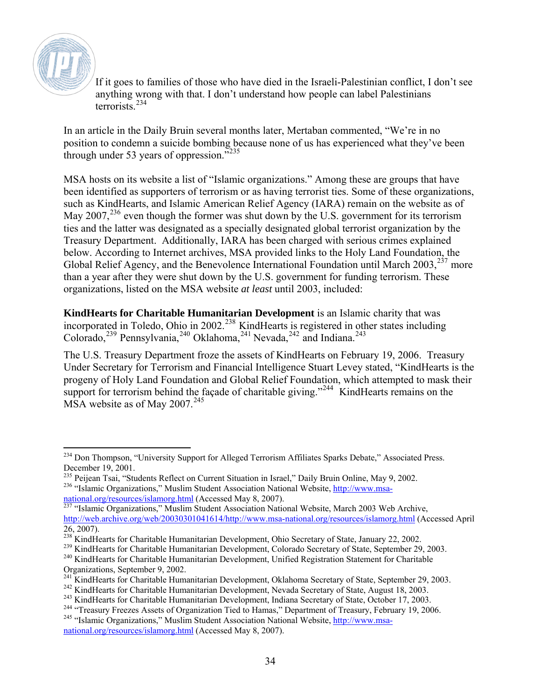

If it goes to families of those who have died in the Israeli-Palestinian conflict, I don't see anything wrong with that. I don't understand how people can label Palestinians  $t$ errorists<sup>[234](#page-33-0)</sup>

In an article in the Daily Bruin several months later, Mertaban commented, "We're in no position to condemn a suicide bombing because none of us has experienced what they've been through under 53 years of oppression. $5235$  $5235$ 

MSA hosts on its website a list of "Islamic organizations." Among these are groups that have been identified as supporters of terrorism or as having terrorist ties. Some of these organizations, such as KindHearts, and Islamic American Relief Agency (IARA) remain on the website as of May 2007,<sup>[236](#page-33-2)</sup> even though the former was shut down by the U.S. government for its terrorism ties and the latter was designated as a specially designated global terrorist organization by the Treasury Department. Additionally, IARA has been charged with serious crimes explained below. According to Internet archives, MSA provided links to the Holy Land Foundation, the Global Relief Agency, and the Benevolence International Foundation until March  $2003$ ,  $237$  more than a year after they were shut down by the U.S. government for funding terrorism. These organizations, listed on the MSA website *at least* until 2003, included:

**KindHearts for Charitable Humanitarian Development** is an Islamic charity that was incorporated in Toledo, Ohio in 2002.<sup>[238](#page-33-4)</sup> KindHearts is registered in other states including Colorado,<sup>[239](#page-33-5)</sup> Pennsylvania,<sup>[240](#page-33-6)</sup> Oklahoma,<sup>[241](#page-33-7)</sup> Nevada,<sup>[242](#page-33-8)</sup> and Indiana.<sup>243</sup>

The U.S. Treasury Department froze the assets of KindHearts on February 19, 2006. Treasury Under Secretary for Terrorism and Financial Intelligence Stuart Levey stated, "KindHearts is the progeny of Holy Land Foundation and Global Relief Foundation, which attempted to mask their support for terrorism behind the façade of charitable giving."<sup>[244](#page-33-10)</sup> KindHearts remains on the MSA website as of May  $2007.<sup>245</sup>$  $2007.<sup>245</sup>$  $2007.<sup>245</sup>$ 

<span id="page-33-7"></span>

<span id="page-33-0"></span> $\overline{a}$ <sup>234</sup> Don Thompson, "University Support for Alleged Terrorism Affiliates Sparks Debate," Associated Press. December 19, 2001.

<span id="page-33-2"></span><span id="page-33-1"></span><sup>&</sup>lt;sup>235</sup> Peijean Tsai, "Students Reflect on Current Situation in Israel," Daily Bruin Online, May 9, 2002. <sup>236</sup> "Islamic Organizations," Muslim Student Association National Website, [http://www.msa](http://www.msa-national.org/resources/islamorg.html)[national.org/resources/islamorg.html](http://www.msa-national.org/resources/islamorg.html) (Accessed May 8, 2007).

<span id="page-33-3"></span><sup>&</sup>lt;sup>237</sup> "Islamic Organizations," Muslim Student Association National Website, March 2003 Web Archive, <http://web.archive.org/web/20030301041614/http://www.msa-national.org/resources/islamorg.html>(Accessed April 26, 2007).

<sup>&</sup>lt;sup>238</sup> KindHearts for Charitable Humanitarian Development, Ohio Secretary of State, January 22, 2002.

<span id="page-33-5"></span><span id="page-33-4"></span><sup>&</sup>lt;sup>239</sup> KindHearts for Charitable Humanitarian Development, Colorado Secretary of State, September 29, 2003.

<span id="page-33-6"></span><sup>&</sup>lt;sup>240</sup> KindHearts for Charitable Humanitarian Development, Unified Registration Statement for Charitable Organizations, September 9, 2002.<br><sup>241</sup> KindHearts for Charitable Humanitarian Development, Oklahoma Secretary of State, September 29, 2003.

<span id="page-33-8"></span><sup>&</sup>lt;sup>242</sup> KindHearts for Charitable Humanitarian Development, Nevada Secretary of State, August 18, 2003.<br><sup>243</sup> KindHearts for Charitable Humanitarian Development, Indiana Secretary of State, October 17, 2003.

<span id="page-33-9"></span>

<sup>&</sup>lt;sup>244</sup> "Treasury Freezes Assets of Organization Tied to Hamas," Department of Treasury, February 19, 2006.

<span id="page-33-11"></span><span id="page-33-10"></span><sup>&</sup>lt;sup>245</sup> "Islamic Organizations," Muslim Student Association National Website, [http://www.msa](http://www.msa-national.org/resources/islamorg.html)[national.org/resources/islamorg.html](http://www.msa-national.org/resources/islamorg.html) (Accessed May 8, 2007).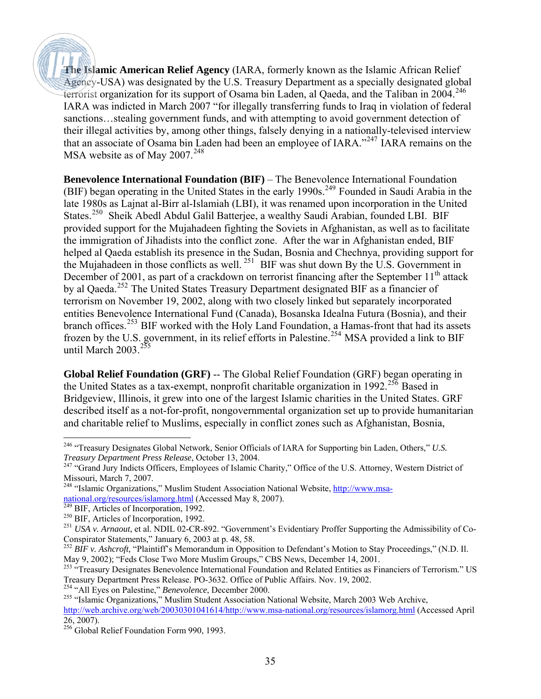**The Islamic American Relief Agency** (IARA, formerly known as the Islamic African Relief Agency-USA) was designated by the U.S. Treasury Department as a specially designated global terrorist organization for its support of Osama bin Laden, al Qaeda, and the Taliban in  $2004$ .<sup>[246](#page-34-0)</sup> IARA was indicted in March 2007 "for illegally transferring funds to Iraq in violation of federal sanctions…stealing government funds, and with attempting to avoid government detection of their illegal activities by, among other things, falsely denying in a nationally-televised interview that an associate of Osama bin Laden had been an employee of IARA."[247](#page-34-1) IARA remains on the MSA website as of May  $2007.<sup>248</sup>$  $2007.<sup>248</sup>$  $2007.<sup>248</sup>$ 

**Benevolence International Foundation (BIF)** – The Benevolence International Foundation (BIF) began operating in the United States in the early 1990s.<sup>[249](#page-34-3)</sup> Founded in Saudi Arabia in the late 1980s as Lajnat al-Birr al-Islamiah (LBI), it was renamed upon incorporation in the United States.<sup>[250](#page-34-4)</sup> Sheik Abedl Abdul Galil Batterjee, a wealthy Saudi Arabian, founded LBI. BIF provided support for the Mujahadeen fighting the Soviets in Afghanistan, as well as to facilitate the immigration of Jihadists into the conflict zone. After the war in Afghanistan ended, BIF helped al Qaeda establish its presence in the Sudan, Bosnia and Chechnya, providing support for the Mujahadeen in those conflicts as well. [251](#page-34-5) BIF was shut down By the U.S. Government in December of 2001, as part of a crackdown on terrorist financing after the September  $11<sup>th</sup>$  attack by al Qaeda.<sup>[252](#page-34-6)</sup> The United States Treasury Department designated BIF as a financier of terrorism on November 19, 2002, along with two closely linked but separately incorporated entities Benevolence International Fund (Canada), Bosanska Idealna Futura (Bosnia), and their branch offices.<sup>[253](#page-34-7)</sup> BIF worked with the Holy Land Foundation, a Hamas-front that had its assets frozen by the U.S. government, in its relief efforts in Palestine.[254](#page-34-8) MSA provided a link to BIF until March  $2003.<sup>255</sup>$  $2003.<sup>255</sup>$  $2003.<sup>255</sup>$ 

**Global Relief Foundation (GRF)** -- The Global Relief Foundation (GRF) began operating in the United States as a tax-exempt, nonprofit charitable organization in 1992.<sup>[256](#page-34-10)</sup> Based in Bridgeview, Illinois, it grew into one of the largest Islamic charities in the United States. GRF described itself as a not-for-profit, nongovernmental organization set up to provide humanitarian and charitable relief to Muslims, especially in conflict zones such as Afghanistan, Bosnia,

<span id="page-34-9"></span><sup>255</sup> "Islamic Organizations," Muslim Student Association National Website, March 2003 Web Archive,

<span id="page-34-0"></span> $\overline{a}$ 246 "Treasury Designates Global Network, Senior Officials of IARA for Supporting bin Laden, Others," *U.S. Treasury Department Press Release*, October 13, 2004.

<span id="page-34-1"></span><sup>&</sup>lt;sup>247</sup> "Grand Jury Indicts Officers, Employees of Islamic Charity," Office of the U.S. Attorney, Western District of Missouri, March 7, 2007.

<span id="page-34-2"></span><sup>&</sup>lt;sup>248</sup> "Islamic Organizations," Muslim Student Association National Website, *http://www.msa*[national.org/resources/islamorg.html](http://www.msa-national.org/resources/islamorg.html) (Accessed May 8, 2007).

<sup>&</sup>lt;sup>249</sup> BIF, Articles of Incorporation, 1992.

<span id="page-34-4"></span><span id="page-34-3"></span><sup>&</sup>lt;sup>250</sup> BIF, Articles of Incorporation, 1992.

<span id="page-34-5"></span><sup>251</sup> *USA v. Arnaout*, et al. NDIL 02-CR-892. "Government's Evidentiary Proffer Supporting the Admissibility of Co-Conspirator Statements," January 6, 2003 at p. 48, 58.

<span id="page-34-6"></span><sup>&</sup>lt;sup>252</sup> *BIF v. Ashcroft,* "Plaintiff's Memorandum in Opposition to Defendant's Motion to Stay Proceedings," (N.D. Il. May 9, 2002); "Feds Close Two More Muslim Groups," CBS News, December 14, 2001.

<span id="page-34-7"></span><sup>&</sup>lt;sup>253 "</sup>Treasury Designates Benevolence International Foundation and Related Entities as Financiers of Terrorism." US Treasury Department Press Release. PO-3632. Office of Public Affairs. Nov. 19, 2002.

<span id="page-34-8"></span><sup>254 &</sup>quot;All Eyes on Palestine," *Benevolence*, December 2000.

<http://web.archive.org/web/20030301041614/http://www.msa-national.org/resources/islamorg.html>(Accessed April 26, 2007).

<span id="page-34-10"></span><sup>&</sup>lt;sup>256</sup> Global Relief Foundation Form 990, 1993.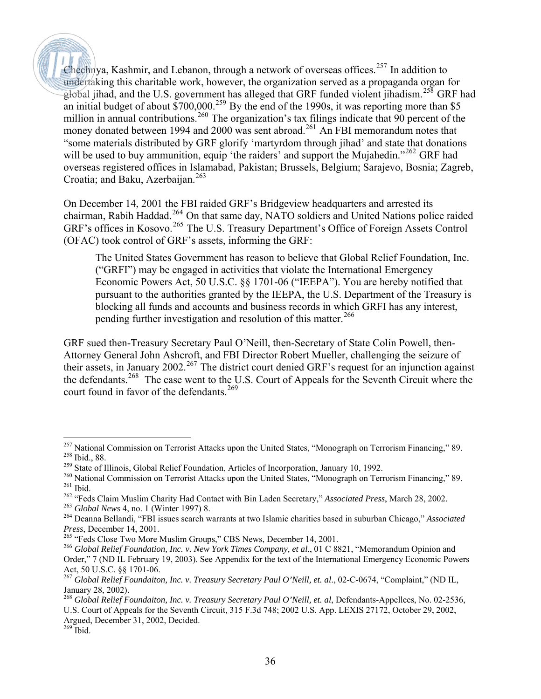Chechnya, Kashmir, and Lebanon, through a network of overseas offices.<sup>[257](#page-35-0)</sup> In addition to undertaking this charitable work, however, the organization served as a propaganda organ for global jihad, and the U.S. government has alleged that GRF funded violent jihadism.<sup>[258](#page-35-1)</sup> GRF had an initial budget of about  $\frac{$700,000^259}{}$  $\frac{$700,000^259}{}$  $\frac{$700,000^259}{}$  By the end of the 1990s, it was reporting more than \$5 million in annual contributions.<sup>[260](#page-35-3)</sup> The organization's tax filings indicate that 90 percent of the money donated between 1994 and 2000 was sent abroad.<sup>[261](#page-35-4)</sup> An FBI memorandum notes that "some materials distributed by GRF glorify 'martyrdom through jihad' and state that donations will be used to buy ammunition, equip 'the raiders' and support the Mujahedin."<sup>[262](#page-35-5)</sup> GRF had overseas registered offices in Islamabad, Pakistan; Brussels, Belgium; Sarajevo, Bosnia; Zagreb, Croatia; and Baku, Azerbaijan. $263$ 

On December 14, 2001 the FBI raided GRF's Bridgeview headquarters and arrested its chairman, Rabih Haddad.[264](#page-35-7) On that same day, NATO soldiers and United Nations police raided GRF's offices in Kosovo.<sup>[265](#page-35-8)</sup> The U.S. Treasury Department's Office of Foreign Assets Control (OFAC) took control of GRF's assets, informing the GRF:

The United States Government has reason to believe that Global Relief Foundation, Inc. ("GRFI") may be engaged in activities that violate the International Emergency Economic Powers Act, 50 U.S.C. §§ 1701-06 ("IEEPA"). You are hereby notified that pursuant to the authorities granted by the IEEPA, the U.S. Department of the Treasury is blocking all funds and accounts and business records in which GRFI has any interest, pending further investigation and resolution of this matter.<sup>[266](#page-35-9)</sup>

GRF sued then-Treasury Secretary Paul O'Neill, then-Secretary of State Colin Powell, then-Attorney General John Ashcroft, and FBI Director Robert Mueller, challenging the seizure of their assets, in January 2002.<sup>[267](#page-35-10)</sup> The district court denied GRF's request for an injunction against the defendants.[268](#page-35-11) The case went to the U.S. Court of Appeals for the Seventh Circuit where the court found in favor of the defendants.<sup>[269](#page-35-12)</sup>

 $\overline{a}$ 

<span id="page-35-1"></span><span id="page-35-0"></span><sup>&</sup>lt;sup>257</sup> National Commission on Terrorist Attacks upon the United States, "Monograph on Terrorism Financing," 89. 258 Ibid., 88.

<span id="page-35-2"></span> $^{259}$  State of Illinois, Global Relief Foundation, Articles of Incorporation, January 10, 1992.

<span id="page-35-3"></span><sup>&</sup>lt;sup>260</sup> National Commission on Terrorist Attacks upon the United States, "Monograph on Terrorism Financing," 89.  $^{261}$  Ibid.

<span id="page-35-5"></span><span id="page-35-4"></span><sup>262 &</sup>quot;Feds Claim Muslim Charity Had Contact with Bin Laden Secretary," *Associated Press*, March 28, 2002.

<span id="page-35-6"></span><sup>263</sup> *Global News* 4, no. 1 (Winter 1997) 8.

<span id="page-35-7"></span><sup>264</sup> Deanna Bellandi, "FBI issues search warrants at two Islamic charities based in suburban Chicago," *Associated Press*, December 14, 2001.

<sup>&</sup>lt;sup>265</sup> "Feds Close Two More Muslim Groups," CBS News, December 14, 2001.

<span id="page-35-9"></span><span id="page-35-8"></span><sup>266</sup> *Global Relief Foundation, Inc. v. New York Times Company, et al.*, 01 C 8821, "Memorandum Opinion and Order," 7 (ND IL February 19, 2003). See Appendix for the text of the International Emergency Economic Powers Act, 50 U.S.C. §§ 1701-06.

<span id="page-35-10"></span><sup>&</sup>lt;sup>267</sup> Global Relief Foundaiton, Inc. v. Treasury Secretary Paul O'Neill, et. al., 02-C-0674, "Complaint," (ND IL, January 28, 2002).

<span id="page-35-11"></span><sup>268</sup> *Global Relief Foundaiton, Inc. v. Treasury Secretary Paul O'Neill, et. al*, Defendants-Appellees, No. 02-2536, U.S. Court of Appeals for the Seventh Circuit, 315 F.3d 748; 2002 U.S. App. LEXIS 27172, October 29, 2002, Argued, December 31, 2002, Decided.

<span id="page-35-12"></span> $^{269}$  Ibid.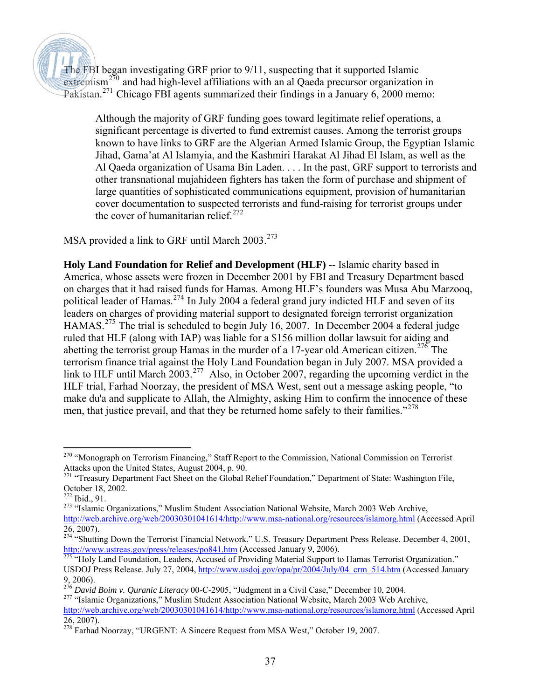The FBI began investigating GRF prior to 9/11, suspecting that it supported Islamic  $extremism<sup>270</sup>$  $extremism<sup>270</sup>$  $extremism<sup>270</sup>$  and had high-level affiliations with an al Qaeda precursor organization in Pakistan.<sup>[271](#page-36-1)</sup> Chicago FBI agents summarized their findings in a January 6, 2000 memo:

Although the majority of GRF funding goes toward legitimate relief operations, a significant percentage is diverted to fund extremist causes. Among the terrorist groups known to have links to GRF are the Algerian Armed Islamic Group, the Egyptian Islamic Jihad, Gama'at Al Islamyia, and the Kashmiri Harakat Al Jihad El Islam, as well as the Al Qaeda organization of Usama Bin Laden. . . . In the past, GRF support to terrorists and other transnational mujahideen fighters has taken the form of purchase and shipment of large quantities of sophisticated communications equipment, provision of humanitarian cover documentation to suspected terrorists and fund-raising for terrorist groups under the cover of humanitarian relief. $272$ 

MSA provided a link to GRF until March  $2003^{273}$  $2003^{273}$  $2003^{273}$ 

**Holy Land Foundation for Relief and Development (HLF)** -- Islamic charity based in America, whose assets were frozen in December 2001 by FBI and Treasury Department based on charges that it had raised funds for Hamas. Among HLF's founders was Musa Abu Marzooq, political leader of Hamas.<sup>[274](#page-36-4)</sup> In July 2004 a federal grand jury indicted HLF and seven of its leaders on charges of providing material support to designated foreign terrorist organization HAMAS.<sup>[275](#page-36-5)</sup> The trial is scheduled to begin July 16, 2007. In December 2004 a federal judge ruled that HLF (along with IAP) was liable for a \$156 million dollar lawsuit for aiding and abetting the terrorist group Hamas in the murder of a 17-year old American citizen.<sup>[276](#page-36-6)</sup> The terrorism finance trial against the Holy Land Foundation began in July 2007. MSA provided a link to HLF until March 2003.<sup>[277](#page-36-7)</sup> Also, in October 2007, regarding the upcoming verdict in the HLF trial, Farhad Noorzay, the president of MSA West, sent out a message asking people, "to make du'a and supplicate to Allah, the Almighty, asking Him to confirm the innocence of these men, that justice prevail, and that they be returned home safely to their families."<sup>[278](#page-36-8)</sup>

<span id="page-36-0"></span> $\overline{a}$ <sup>270</sup> "Monograph on Terrorism Financing," Staff Report to the Commission, National Commission on Terrorist Attacks upon the United States, August 2004, p. 90.

<span id="page-36-1"></span><sup>&</sup>lt;sup>271</sup> "Treasury Department Fact Sheet on the Global Relief Foundation," Department of State: Washington File, October 18, 2002.

<sup>272</sup> Ibid., 91.

<span id="page-36-3"></span><span id="page-36-2"></span><sup>&</sup>lt;sup>273</sup> "Islamic Organizations," Muslim Student Association National Website, March 2003 Web Archive, <http://web.archive.org/web/20030301041614/http://www.msa-national.org/resources/islamorg.html>(Accessed April 26, 2007).

<span id="page-36-4"></span><sup>&</sup>lt;sup>274</sup> "Shutting Down the Terrorist Financial Network." U.S. Treasury Department Press Release. December 4, 2001, http://www.ustreas.gov/press/releases/po841.htm (Accessed January 9, 2006).

<span id="page-36-5"></span><sup>&</sup>lt;sup>275</sup> "Holy Land Foundation, Leaders, Accused of Providing Material Support to Hamas Terrorist Organization." USDOJ Press Release. July 27, 2004, [http://www.usdoj.gov/opa/pr/2004/July/04\\_crm\\_514.htm](http://www.usdoj.gov/opa/pr/2004/July/04_crm_514.htm) (Accessed January 9, 2006).

<span id="page-36-6"></span><sup>276</sup> *David Boim v. Quranic Literacy* 00-C-2905, "Judgment in a Civil Case," December 10, 2004.

<span id="page-36-7"></span><sup>&</sup>lt;sup>277</sup> "Islamic Organizations," Muslim Student Association National Website, March 2003 Web Archive,

<http://web.archive.org/web/20030301041614/http://www.msa-national.org/resources/islamorg.html>(Accessed April 26, 2007).

<span id="page-36-8"></span><sup>&</sup>lt;sup>278</sup> Farhad Noorzay, "URGENT: A Sincere Request from MSA West," October 19, 2007.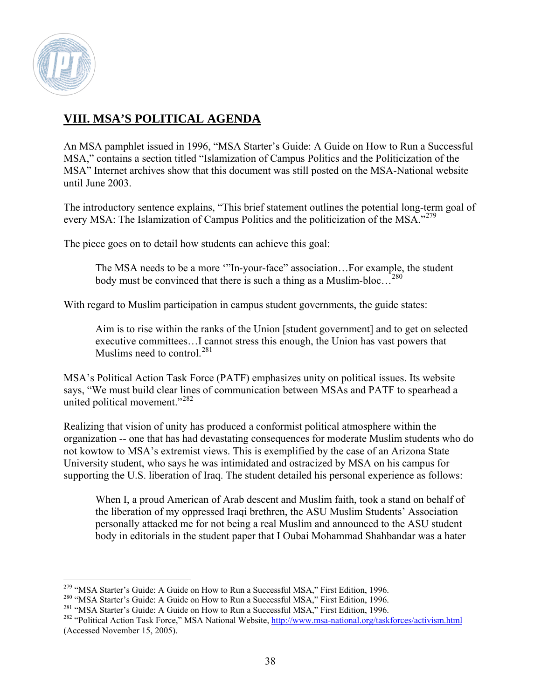

### **VIII. MSA'S POLITICAL AGENDA**

An MSA pamphlet issued in 1996, "MSA Starter's Guide: A Guide on How to Run a Successful MSA," contains a section titled "Islamization of Campus Politics and the Politicization of the MSA" Internet archives show that this document was still posted on the MSA-National website until June 2003.

The introductory sentence explains, "This brief statement outlines the potential long-term goal of every MSA: The Islamization of Campus Politics and the politicization of the MSA."<sup>[279](#page-37-0)</sup>

The piece goes on to detail how students can achieve this goal:

The MSA needs to be a more '"In-your-face" association…For example, the student body must be convinced that there is such a thing as a Muslim-bloc…[280](#page-37-1)

With regard to Muslim participation in campus student governments, the guide states:

Aim is to rise within the ranks of the Union [student government] and to get on selected executive committees…I cannot stress this enough, the Union has vast powers that Muslims need to control.<sup>[281](#page-37-2)</sup>

MSA's Political Action Task Force (PATF) emphasizes unity on political issues. Its website says, "We must build clear lines of communication between MSAs and PATF to spearhead a united political movement."<sup>[282](#page-37-3)</sup>

Realizing that vision of unity has produced a conformist political atmosphere within the organization -- one that has had devastating consequences for moderate Muslim students who do not kowtow to MSA's extremist views. This is exemplified by the case of an Arizona State University student, who says he was intimidated and ostracized by MSA on his campus for supporting the U.S. liberation of Iraq. The student detailed his personal experience as follows:

When I, a proud American of Arab descent and Muslim faith, took a stand on behalf of the liberation of my oppressed Iraqi brethren, the ASU Muslim Students' Association personally attacked me for not being a real Muslim and announced to the ASU student body in editorials in the student paper that I Oubai Mohammad Shahbandar was a hater

 $\overline{a}$ <sup>279</sup> "MSA Starter's Guide: A Guide on How to Run a Successful MSA," First Edition, 1996.

<span id="page-37-0"></span><sup>&</sup>lt;sup>280</sup> "MSA Starter's Guide: A Guide on How to Run a Successful MSA," First Edition, 1996.

<span id="page-37-2"></span><span id="page-37-1"></span><sup>&</sup>lt;sup>281</sup> "MSA Starter's Guide: A Guide on How to Run a Successful MSA," First Edition, 1996.

<span id="page-37-3"></span><sup>&</sup>lt;sup>282</sup> "Political Action Task Force," MSA National Website, http://www.msa-national.org/taskforces/activism.html (Accessed November 15, 2005).